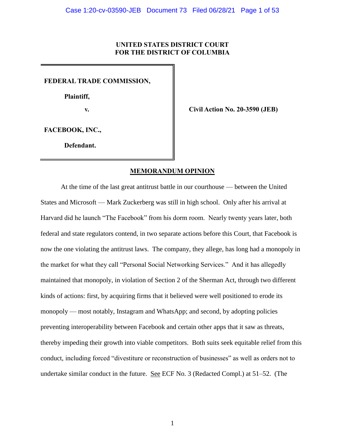# **UNITED STATES DISTRICT COURT FOR THE DISTRICT OF COLUMBIA**

**FEDERAL TRADE COMMISSION,**

 **Plaintiff,**

**v. Civil Action No. 20-3590 (JEB)**

**FACEBOOK, INC.,**

**Defendant.**

# **MEMORANDUM OPINION**

At the time of the last great antitrust battle in our courthouse — between the United States and Microsoft — Mark Zuckerberg was still in high school. Only after his arrival at Harvard did he launch "The Facebook" from his dorm room. Nearly twenty years later, both federal and state regulators contend, in two separate actions before this Court, that Facebook is now the one violating the antitrust laws. The company, they allege, has long had a monopoly in the market for what they call "Personal Social Networking Services." And it has allegedly maintained that monopoly, in violation of Section 2 of the Sherman Act, through two different kinds of actions: first, by acquiring firms that it believed were well positioned to erode its monopoly — most notably, Instagram and WhatsApp; and second, by adopting policies preventing interoperability between Facebook and certain other apps that it saw as threats, thereby impeding their growth into viable competitors. Both suits seek equitable relief from this conduct, including forced "divestiture or reconstruction of businesses" as well as orders not to undertake similar conduct in the future. See ECF No. 3 (Redacted Compl.) at 51–52. (The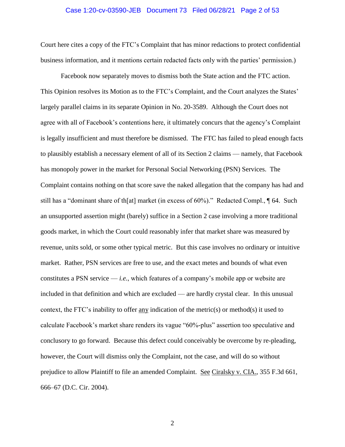#### Case 1:20-cv-03590-JEB Document 73 Filed 06/28/21 Page 2 of 53

Court here cites a copy of the FTC's Complaint that has minor redactions to protect confidential business information, and it mentions certain redacted facts only with the parties' permission.)

Facebook now separately moves to dismiss both the State action and the FTC action. This Opinion resolves its Motion as to the FTC's Complaint, and the Court analyzes the States' largely parallel claims in its separate Opinion in No. 20-3589. Although the Court does not agree with all of Facebook's contentions here, it ultimately concurs that the agency's Complaint is legally insufficient and must therefore be dismissed. The FTC has failed to plead enough facts to plausibly establish a necessary element of all of its Section 2 claims — namely, that Facebook has monopoly power in the market for Personal Social Networking (PSN) Services. The Complaint contains nothing on that score save the naked allegation that the company has had and still has a "dominant share of th[at] market (in excess of 60%)." Redacted Compl., ¶ 64. Such an unsupported assertion might (barely) suffice in a Section 2 case involving a more traditional goods market, in which the Court could reasonably infer that market share was measured by revenue, units sold, or some other typical metric. But this case involves no ordinary or intuitive market. Rather, PSN services are free to use, and the exact metes and bounds of what even constitutes a PSN service — *i.e.*, which features of a company's mobile app or website are included in that definition and which are excluded — are hardly crystal clear. In this unusual context, the FTC's inability to offer any indication of the metric(s) or method(s) it used to calculate Facebook's market share renders its vague "60%-plus" assertion too speculative and conclusory to go forward. Because this defect could conceivably be overcome by re-pleading, however, the Court will dismiss only the Complaint, not the case, and will do so without prejudice to allow Plaintiff to file an amended Complaint. See Ciralsky v. CIA., 355 F.3d 661, 666–67 (D.C. Cir. 2004).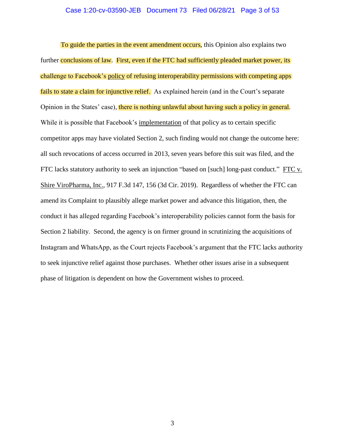#### Case 1:20-cv-03590-JEB Document 73 Filed 06/28/21 Page 3 of 53

To guide the parties in the event amendment occurs, this Opinion also explains two further conclusions of law. First, even if the FTC had sufficiently pleaded market power, its challenge to Facebook's policy of refusing interoperability permissions with competing apps fails to state a claim for injunctive relief. As explained herein (and in the Court's separate Opinion in the States' case), there is nothing unlawful about having such a policy in general. While it is possible that Facebook's implementation of that policy as to certain specific competitor apps may have violated Section 2, such finding would not change the outcome here: all such revocations of access occurred in 2013, seven years before this suit was filed, and the FTC lacks statutory authority to seek an injunction "based on [such] long-past conduct." FTC v. Shire ViroPharma, Inc., 917 F.3d 147, 156 (3d Cir. 2019). Regardless of whether the FTC can amend its Complaint to plausibly allege market power and advance this litigation, then, the conduct it has alleged regarding Facebook's interoperability policies cannot form the basis for Section 2 liability. Second, the agency is on firmer ground in scrutinizing the acquisitions of Instagram and WhatsApp, as the Court rejects Facebook's argument that the FTC lacks authority to seek injunctive relief against those purchases. Whether other issues arise in a subsequent phase of litigation is dependent on how the Government wishes to proceed.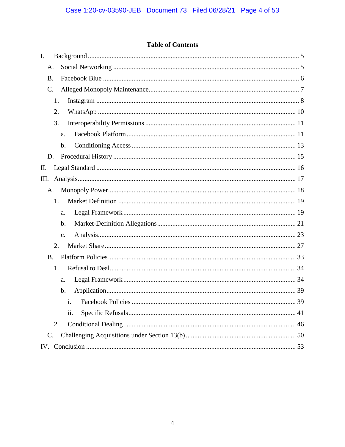# **Table of Contents**

| $\mathbf{I}$ .  |
|-----------------|
| A.              |
| <b>B.</b>       |
| $\mathcal{C}$ . |
| 1.              |
| 2.              |
| 3.              |
| a.              |
| $\mathbf b$ .   |
| D.              |
| П.              |
| Ш.              |
| A.              |
| 1.              |
| a.              |
| b.              |
| $C_{\bullet}$   |
| 2.              |
| <b>B.</b>       |
| 1.              |
| a.              |
| b.              |
| i.              |
| ii.             |
| 2.              |
| $\mathcal{C}$ . |
|                 |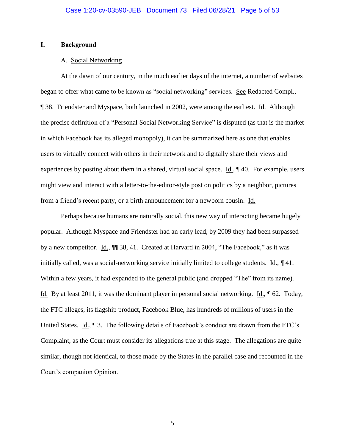#### <span id="page-4-1"></span><span id="page-4-0"></span>**I. Background**

#### A. Social Networking

At the dawn of our century, in the much earlier days of the internet, a number of websites began to offer what came to be known as "social networking" services. See Redacted Compl., ¶ 38. Friendster and Myspace, both launched in 2002, were among the earliest. Id. Although the precise definition of a "Personal Social Networking Service" is disputed (as that is the market in which Facebook has its alleged monopoly), it can be summarized here as one that enables users to virtually connect with others in their network and to digitally share their views and experiences by posting about them in a shared, virtual social space. Id., ¶ 40. For example, users might view and interact with a letter-to-the-editor-style post on politics by a neighbor, pictures from a friend's recent party, or a birth announcement for a newborn cousin. Id.

Perhaps because humans are naturally social, this new way of interacting became hugely popular. Although Myspace and Friendster had an early lead, by 2009 they had been surpassed by a new competitor. Id.,  $\P$  38, 41. Created at Harvard in 2004, "The Facebook," as it was initially called, was a social-networking service initially limited to college students. Id., ¶ 41. Within a few years, it had expanded to the general public (and dropped "The" from its name). Id. By at least 2011, it was the dominant player in personal social networking. Id., ¶ 62. Today, the FTC alleges, its flagship product, Facebook Blue, has hundreds of millions of users in the United States. Id., 1 3. The following details of Facebook's conduct are drawn from the FTC's Complaint, as the Court must consider its allegations true at this stage. The allegations are quite similar, though not identical, to those made by the States in the parallel case and recounted in the Court's companion Opinion.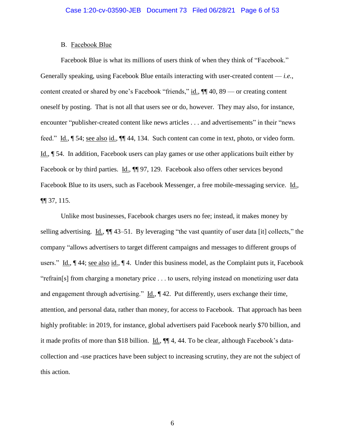#### B. Facebook Blue

<span id="page-5-0"></span>Facebook Blue is what its millions of users think of when they think of "Facebook." Generally speaking, using Facebook Blue entails interacting with user-created content — *i.e.*, content created or shared by one's Facebook "friends," id., ¶¶ 40, 89 — or creating content oneself by posting. That is not all that users see or do, however. They may also, for instance, encounter "publisher-created content like news articles . . . and advertisements" in their "news feed." Id., ¶ 54; see also id., ¶¶ 44, 134. Such content can come in text, photo, or video form. Id., ¶ 54. In addition, Facebook users can play games or use other applications built either by Facebook or by third parties. Id.,  $\P$  97, 129. Facebook also offers other services beyond Facebook Blue to its users, such as Facebook Messenger, a free mobile-messaging service. Id., ¶¶ 37, 115.

Unlike most businesses, Facebook charges users no fee; instead, it makes money by selling advertising. Id., ¶¶ 43–51. By leveraging "the vast quantity of user data [it] collects," the company "allows advertisers to target different campaigns and messages to different groups of users." Id., ¶ 44; see also id., ¶ 4. Under this business model, as the Complaint puts it, Facebook "refrain[s] from charging a monetary price . . . to users, relying instead on monetizing user data and engagement through advertising."  $\underline{Id}$ ,  $\P$  42. Put differently, users exchange their time, attention, and personal data, rather than money, for access to Facebook. That approach has been highly profitable: in 2019, for instance, global advertisers paid Facebook nearly \$70 billion, and it made profits of more than \$18 billion. Id., ¶¶ 4, 44. To be clear, although Facebook's datacollection and -use practices have been subject to increasing scrutiny, they are not the subject of this action.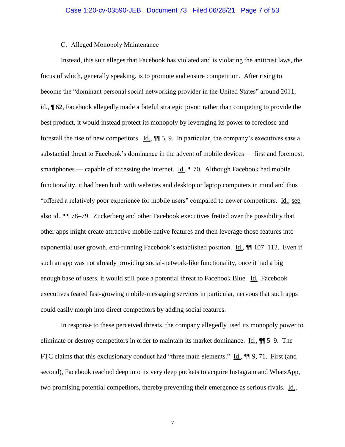## C. Alleged Monopoly Maintenance

<span id="page-6-0"></span>Instead, this suit alleges that Facebook has violated and is violating the antitrust laws, the focus of which, generally speaking, is to promote and ensure competition. After rising to become the "dominant personal social networking provider in the United States" around 2011, id., ¶ 62, Facebook allegedly made a fateful strategic pivot: rather than competing to provide the best product, it would instead protect its monopoly by leveraging its power to foreclose and forestall the rise of new competitors. Id., ¶¶ 5, 9. In particular, the company's executives saw a substantial threat to Facebook's dominance in the advent of mobile devices — first and foremost, smartphones — capable of accessing the internet. Id., ¶ 70. Although Facebook had mobile functionality, it had been built with websites and desktop or laptop computers in mind and thus "offered a relatively poor experience for mobile users" compared to newer competitors. Id.; see also id., ¶¶ 78–79. Zuckerberg and other Facebook executives fretted over the possibility that other apps might create attractive mobile-native features and then leverage those features into exponential user growth, end-running Facebook's established position. Id., ¶¶ 107–112. Even if such an app was not already providing social-network-like functionality, once it had a big enough base of users, it would still pose a potential threat to Facebook Blue. Id. Facebook executives feared fast-growing mobile-messaging services in particular, nervous that such apps could easily morph into direct competitors by adding social features.

In response to these perceived threats, the company allegedly used its monopoly power to eliminate or destroy competitors in order to maintain its market dominance.  $\underline{Id}$ ,  $\P$  5–9. The FTC claims that this exclusionary conduct had "three main elements." Id.,  $\P\P$  9, 71. First (and second), Facebook reached deep into its very deep pockets to acquire Instagram and WhatsApp, two promising potential competitors, thereby preventing their emergence as serious rivals. Id.,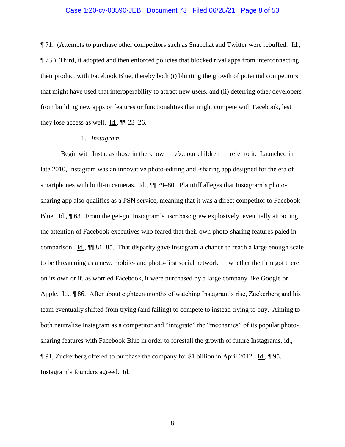#### Case 1:20-cv-03590-JEB Document 73 Filed 06/28/21 Page 8 of 53

**The 71.** (Attempts to purchase other competitors such as Snapchat and Twitter were rebuffed. Id., ¶ 73.) Third, it adopted and then enforced policies that blocked rival apps from interconnecting their product with Facebook Blue, thereby both (i) blunting the growth of potential competitors that might have used that interoperability to attract new users, and (ii) deterring other developers from building new apps or features or functionalities that might compete with Facebook, lest they lose access as well. Id.,  $\P$  23–26.

#### 1. *Instagram*

<span id="page-7-0"></span>Begin with Insta, as those in the know  $-$  *viz.*, our children  $-$  refer to it. Launched in late 2010, Instagram was an innovative photo-editing and -sharing app designed for the era of smartphones with built-in cameras. Id.,  $\P$  79–80. Plaintiff alleges that Instagram's photosharing app also qualifies as a PSN service, meaning that it was a direct competitor to Facebook Blue. Id., ¶ 63. From the get-go, Instagram's user base grew explosively, eventually attracting the attention of Facebook executives who feared that their own photo-sharing features paled in comparison. Id., ¶¶ 81–85. That disparity gave Instagram a chance to reach a large enough scale to be threatening as a new, mobile- and photo-first social network — whether the firm got there on its own or if, as worried Facebook, it were purchased by a large company like Google or Apple. Id., ¶ 86. After about eighteen months of watching Instagram's rise, Zuckerberg and his team eventually shifted from trying (and failing) to compete to instead trying to buy. Aiming to both neutralize Instagram as a competitor and "integrate" the "mechanics" of its popular photosharing features with Facebook Blue in order to forestall the growth of future Instagrams, id.,  $\P$  91, Zuckerberg offered to purchase the company for \$1 billion in April 2012. Id.,  $\P$  95. Instagram's founders agreed. Id.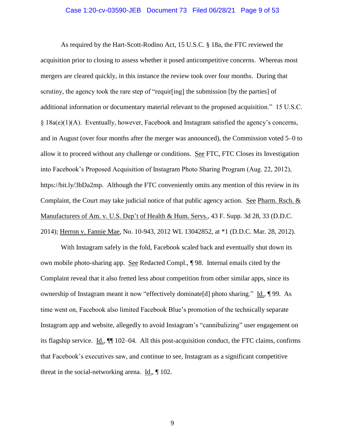#### Case 1:20-cv-03590-JEB Document 73 Filed 06/28/21 Page 9 of 53

As required by the Hart-Scott-Rodino Act, 15 U.S.C. § 18a, the FTC reviewed the acquisition prior to closing to assess whether it posed anticompetitive concerns. Whereas most mergers are cleared quickly, in this instance the review took over four months. During that scrutiny, the agency took the rare step of "requir[ing] the submission [by the parties] of additional information or documentary material relevant to the proposed acquisition." 15 U.S.C. § 18a(e)(1)(A). Eventually, however, Facebook and Instagram satisfied the agency's concerns, and in August (over four months after the merger was announced), the Commission voted 5–0 to allow it to proceed without any challenge or conditions. See FTC, FTC Closes its Investigation into Facebook's Proposed Acquisition of Instagram Photo Sharing Program (Aug. 22, 2012), https://bit.ly/3bDa2mp. Although the FTC conveniently omits any mention of this review in its Complaint, the Court may take judicial notice of that public agency action. See Pharm. Rsch.  $&$ Manufacturers of Am. v. U.S. Dep't of Health & Hum. Servs., 43 F. Supp. 3d 28, 33 (D.D.C. 2014); Herron v. Fannie Mae, No. 10-943, 2012 WL 13042852, at \*1 (D.D.C. Mar. 28, 2012).

With Instagram safely in the fold, Facebook scaled back and eventually shut down its own mobile photo-sharing app. See Redacted Compl., ¶ 98. Internal emails cited by the Complaint reveal that it also fretted less about competition from other similar apps, since its ownership of Instagram meant it now "effectively dominate[d] photo sharing." Id., ¶ 99. As time went on, Facebook also limited Facebook Blue's promotion of the technically separate Instagram app and website, allegedly to avoid Instagram's "cannibalizing" user engagement on its flagship service. Id., ¶¶ 102–04. All this post-acquisition conduct, the FTC claims, confirms that Facebook's executives saw, and continue to see, Instagram as a significant competitive threat in the social-networking arena.  $\underline{Id}$ ,  $\P$  102.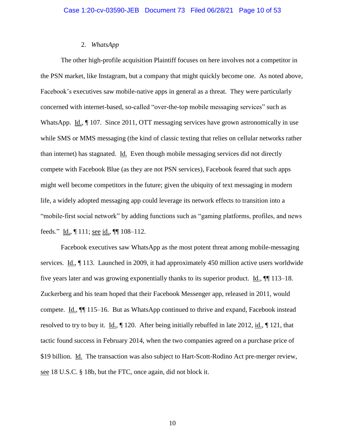## 2. *WhatsApp*

<span id="page-9-0"></span>The other high-profile acquisition Plaintiff focuses on here involves not a competitor in the PSN market, like Instagram, but a company that might quickly become one. As noted above, Facebook's executives saw mobile-native apps in general as a threat. They were particularly concerned with internet-based, so-called "over-the-top mobile messaging services" such as WhatsApp. Id.,  $\parallel$  107. Since 2011, OTT messaging services have grown astronomically in use while SMS or MMS messaging (the kind of classic texting that relies on cellular networks rather than internet) has stagnated. Id. Even though mobile messaging services did not directly compete with Facebook Blue (as they are not PSN services), Facebook feared that such apps might well become competitors in the future; given the ubiquity of text messaging in modern life, a widely adopted messaging app could leverage its network effects to transition into a "mobile-first social network" by adding functions such as "gaming platforms, profiles, and news feeds." Id., | 111; <u>see id.</u>, | 108–112.

Facebook executives saw WhatsApp as the most potent threat among mobile-messaging services. Id., ¶ 113. Launched in 2009, it had approximately 450 million active users worldwide five years later and was growing exponentially thanks to its superior product. Id., ¶¶ 113–18. Zuckerberg and his team hoped that their Facebook Messenger app, released in 2011, would compete. Id., ¶¶ 115–16. But as WhatsApp continued to thrive and expand, Facebook instead resolved to try to buy it. Id., ¶ 120. After being initially rebuffed in late 2012, id., ¶ 121, that tactic found success in February 2014, when the two companies agreed on a purchase price of \$19 billion. Id. The transaction was also subject to Hart-Scott-Rodino Act pre-merger review, see 18 U.S.C. § 18b, but the FTC, once again, did not block it.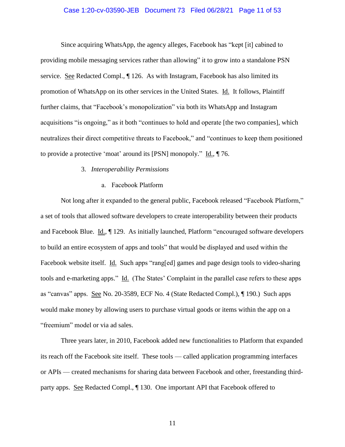## Case 1:20-cv-03590-JEB Document 73 Filed 06/28/21 Page 11 of 53

Since acquiring WhatsApp, the agency alleges, Facebook has "kept [it] cabined to providing mobile messaging services rather than allowing" it to grow into a standalone PSN service. See Redacted Compl., ¶ 126. As with Instagram, Facebook has also limited its promotion of WhatsApp on its other services in the United States. Id. It follows, Plaintiff further claims, that "Facebook's monopolization" via both its WhatsApp and Instagram acquisitions "is ongoing," as it both "continues to hold and operate [the two companies], which neutralizes their direct competitive threats to Facebook," and "continues to keep them positioned to provide a protective 'moat' around its [PSN] monopoly." Id., ¶ 76.

## 3. *Interoperability Permissions*

a. Facebook Platform

<span id="page-10-1"></span><span id="page-10-0"></span>Not long after it expanded to the general public, Facebook released "Facebook Platform," a set of tools that allowed software developers to create interoperability between their products and Facebook Blue. Id., ¶ 129. As initially launched, Platform "encouraged software developers to build an entire ecosystem of apps and tools" that would be displayed and used within the Facebook website itself. Id. Such apps "rang[ed] games and page design tools to video-sharing tools and e-marketing apps." Id. (The States' Complaint in the parallel case refers to these apps as "canvas" apps. See No. 20-3589, ECF No. 4 (State Redacted Compl.), ¶ 190.) Such apps would make money by allowing users to purchase virtual goods or items within the app on a "freemium" model or via ad sales.

Three years later, in 2010, Facebook added new functionalities to Platform that expanded its reach off the Facebook site itself. These tools — called application programming interfaces or APIs — created mechanisms for sharing data between Facebook and other, freestanding thirdparty apps. See Redacted Compl., ¶ 130. One important API that Facebook offered to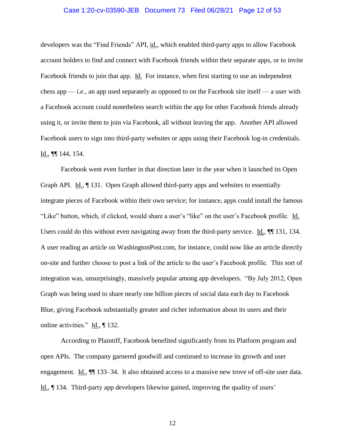#### Case 1:20-cv-03590-JEB Document 73 Filed 06/28/21 Page 12 of 53

developers was the "Find Friends" API, id., which enabled third-party apps to allow Facebook account holders to find and connect with Facebook friends within their separate apps, or to invite Facebook friends to join that app. Id. For instance, when first starting to use an independent chess app — *i.e.*, an app used separately as opposed to on the Facebook site itself — a user with a Facebook account could nonetheless search within the app for other Facebook friends already using it, or invite them to join via Facebook, all without leaving the app. Another API allowed Facebook users to sign into third-party websites or apps using their Facebook log-in credentials. Id.,  $\P\P$  144, 154.

Facebook went even further in that direction later in the year when it launched its Open Graph API. Id.,  $\P$  131. Open Graph allowed third-party apps and websites to essentially integrate pieces of Facebook within their own service; for instance, apps could install the famous "Like" button, which, if clicked, would share a user's "like" on the user's Facebook profile. Id. Users could do this without even navigating away from the third-party service. Id.,  $\P$  131, 134. A user reading an article on WashingtonPost.com, for instance, could now like an article directly on-site and further choose to post a link of the article to the user's Facebook profile. This sort of integration was, unsurprisingly, massively popular among app developers. "By July 2012, Open Graph was being used to share nearly one billion pieces of social data each day to Facebook Blue, giving Facebook substantially greater and richer information about its users and their online activities."  $\underline{Id}$ .,  $\P$  132.

According to Plaintiff, Facebook benefited significantly from its Platform program and open APIs. The company garnered goodwill and continued to increase its growth and user engagement. Id.,  $\blacksquare$  133–34. It also obtained access to a massive new trove of off-site user data. Id., ¶ 134. Third-party app developers likewise gained, improving the quality of users'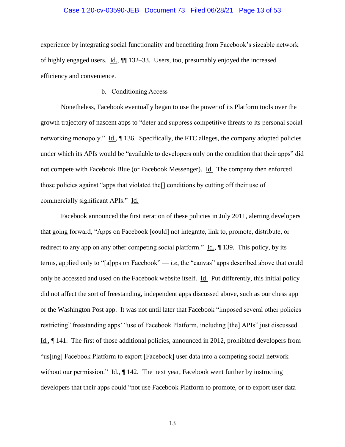#### Case 1:20-cv-03590-JEB Document 73 Filed 06/28/21 Page 13 of 53

experience by integrating social functionality and benefiting from Facebook's sizeable network of highly engaged users. Id., ¶¶ 132–33. Users, too, presumably enjoyed the increased efficiency and convenience.

## b. Conditioning Access

<span id="page-12-0"></span>Nonetheless, Facebook eventually began to use the power of its Platform tools over the growth trajectory of nascent apps to "deter and suppress competitive threats to its personal social networking monopoly." Id., ¶ 136. Specifically, the FTC alleges, the company adopted policies under which its APIs would be "available to developers only on the condition that their apps" did not compete with Facebook Blue (or Facebook Messenger). Id. The company then enforced those policies against "apps that violated the[] conditions by cutting off their use of commercially significant APIs." Id.

Facebook announced the first iteration of these policies in July 2011, alerting developers that going forward, "Apps on Facebook [could] not integrate, link to, promote, distribute, or redirect to any app on any other competing social platform."  $\underline{Id}$ .,  $\P$  139. This policy, by its terms, applied only to "[a]pps on Facebook" — *i.e*, the "canvas" apps described above that could only be accessed and used on the Facebook website itself. Id. Put differently, this initial policy did not affect the sort of freestanding, independent apps discussed above, such as our chess app or the Washington Post app. It was not until later that Facebook "imposed several other policies restricting" freestanding apps' "use of Facebook Platform, including [the] APIs" just discussed. Id., ¶ 141. The first of those additional policies, announced in 2012, prohibited developers from "us[ing] Facebook Platform to export [Facebook] user data into a competing social network without our permission."  $\underline{Id}$ ,  $\P$  142. The next year, Facebook went further by instructing developers that their apps could "not use Facebook Platform to promote, or to export user data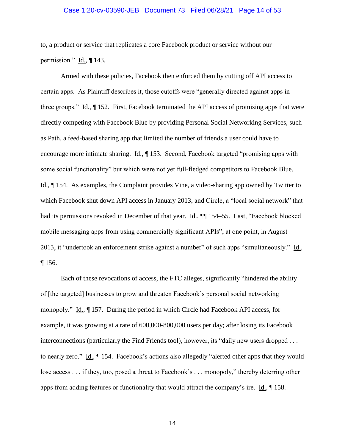#### Case 1:20-cv-03590-JEB Document 73 Filed 06/28/21 Page 14 of 53

to, a product or service that replicates a core Facebook product or service without our permission." Id., ¶ 143.

Armed with these policies, Facebook then enforced them by cutting off API access to certain apps. As Plaintiff describes it, those cutoffs were "generally directed against apps in three groups." Id., ¶ 152. First, Facebook terminated the API access of promising apps that were directly competing with Facebook Blue by providing Personal Social Networking Services, such as Path, a feed-based sharing app that limited the number of friends a user could have to encourage more intimate sharing. Id., ¶ 153. Second, Facebook targeted "promising apps with some social functionality" but which were not yet full-fledged competitors to Facebook Blue. Id., ¶ 154. As examples, the Complaint provides Vine, a video-sharing app owned by Twitter to which Facebook shut down API access in January 2013, and Circle, a "local social network" that had its permissions revoked in December of that year. Id.,  $\P$  154–55. Last, "Facebook blocked mobile messaging apps from using commercially significant APIs"; at one point, in August 2013, it "undertook an enforcement strike against a number" of such apps "simultaneously." Id., ¶ 156.

Each of these revocations of access, the FTC alleges, significantly "hindered the ability of [the targeted] businesses to grow and threaten Facebook's personal social networking monopoly." Id., ¶ 157. During the period in which Circle had Facebook API access, for example, it was growing at a rate of 600,000-800,000 users per day; after losing its Facebook interconnections (particularly the Find Friends tool), however, its "daily new users dropped . . . to nearly zero." Id.,  $\parallel$  154. Facebook's actions also allegedly "alerted other apps that they would lose access . . . if they, too, posed a threat to Facebook's . . . monopoly," thereby deterring other apps from adding features or functionality that would attract the company's ire.  $Id_{.} \$  158.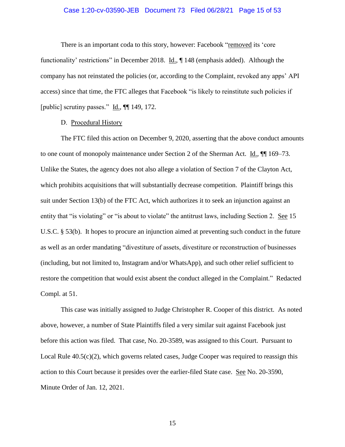## Case 1:20-cv-03590-JEB Document 73 Filed 06/28/21 Page 15 of 53

There is an important coda to this story, however: Facebook "removed its 'core functionality' restrictions" in December 2018. Id., ¶ 148 (emphasis added). Although the company has not reinstated the policies (or, according to the Complaint, revoked any apps' API access) since that time, the FTC alleges that Facebook "is likely to reinstitute such policies if [public] scrutiny passes." Id., ¶¶ 149, 172.

## D. Procedural History

<span id="page-14-0"></span>The FTC filed this action on December 9, 2020, asserting that the above conduct amounts to one count of monopoly maintenance under Section 2 of the Sherman Act. Id.,  $\P$  169–73. Unlike the States, the agency does not also allege a violation of Section 7 of the Clayton Act, which prohibits acquisitions that will substantially decrease competition. Plaintiff brings this suit under Section 13(b) of the FTC Act, which authorizes it to seek an injunction against an entity that "is violating" or "is about to violate" the antitrust laws, including Section 2. See 15 U.S.C. § 53(b). It hopes to procure an injunction aimed at preventing such conduct in the future as well as an order mandating "divestiture of assets, divestiture or reconstruction of businesses (including, but not limited to, Instagram and/or WhatsApp), and such other relief sufficient to restore the competition that would exist absent the conduct alleged in the Complaint." Redacted Compl. at 51.

This case was initially assigned to Judge Christopher R. Cooper of this district. As noted above, however, a number of State Plaintiffs filed a very similar suit against Facebook just before this action was filed. That case, No. 20-3589, was assigned to this Court. Pursuant to Local Rule  $40.5(c)(2)$ , which governs related cases, Judge Cooper was required to reassign this action to this Court because it presides over the earlier-filed State case. See No. 20-3590, Minute Order of Jan. 12, 2021.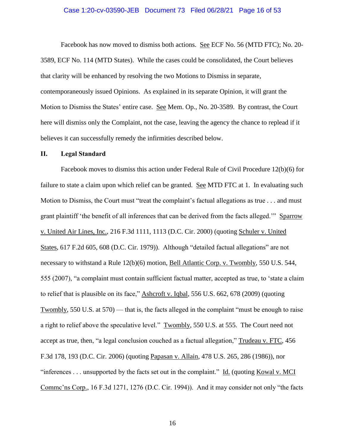#### Case 1:20-cv-03590-JEB Document 73 Filed 06/28/21 Page 16 of 53

Facebook has now moved to dismiss both actions. See ECF No. 56 (MTD FTC); No. 20- 3589, ECF No. 114 (MTD States). While the cases could be consolidated, the Court believes that clarity will be enhanced by resolving the two Motions to Dismiss in separate, contemporaneously issued Opinions. As explained in its separate Opinion, it will grant the Motion to Dismiss the States' entire case. See Mem. Op., No. 20-3589. By contrast, the Court here will dismiss only the Complaint, not the case, leaving the agency the chance to replead if it believes it can successfully remedy the infirmities described below.

#### <span id="page-15-0"></span>**II. Legal Standard**

Facebook moves to dismiss this action under Federal Rule of Civil Procedure 12(b)(6) for failure to state a claim upon which relief can be granted. See MTD FTC at 1. In evaluating such Motion to Dismiss, the Court must "treat the complaint's factual allegations as true . . . and must grant plaintiff 'the benefit of all inferences that can be derived from the facts alleged.'" Sparrow v. United Air Lines, Inc., 216 F.3d 1111, 1113 (D.C. Cir. 2000) (quoting Schuler v. United States, 617 F.2d 605, 608 (D.C. Cir. 1979)). Although "detailed factual allegations" are not necessary to withstand a Rule 12(b)(6) motion, Bell Atlantic Corp. v. Twombly, 550 U.S. 544, 555 (2007), "a complaint must contain sufficient factual matter, accepted as true, to 'state a claim to relief that is plausible on its face," Ashcroft v. Iqbal, 556 U.S. 662, 678 (2009) (quoting Twombly, 550 U.S. at 570) — that is, the facts alleged in the complaint "must be enough to raise a right to relief above the speculative level." Twombly, 550 U.S. at 555. The Court need not accept as true, then, "a legal conclusion couched as a factual allegation," Trudeau v. FTC, 456 F.3d 178, 193 (D.C. Cir. 2006) (quoting Papasan v. Allain, 478 U.S. 265, 286 (1986)), nor "inferences . . . unsupported by the facts set out in the complaint."  $\underline{Id}$ . (quoting Kowal v. MCI Commc'ns Corp., 16 F.3d 1271, 1276 (D.C. Cir. 1994)). And it may consider not only "the facts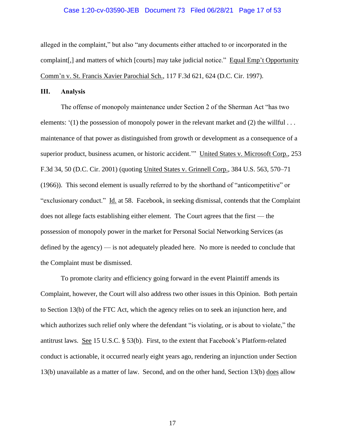#### Case 1:20-cv-03590-JEB Document 73 Filed 06/28/21 Page 17 of 53

alleged in the complaint," but also "any documents either attached to or incorporated in the complaint[,] and matters of which [courts] may take judicial notice." Equal Emp't Opportunity Comm'n v. St. Francis Xavier Parochial Sch., 117 F.3d 621, 624 (D.C. Cir. 1997).

#### <span id="page-16-0"></span>**III. Analysis**

The offense of monopoly maintenance under Section 2 of the Sherman Act "has two elements:  $(1)$  the possession of monopoly power in the relevant market and  $(2)$  the willful ... maintenance of that power as distinguished from growth or development as a consequence of a superior product, business acumen, or historic accident." United States v. Microsoft Corp., 253 F.3d 34, 50 (D.C. Cir. 2001) (quoting United States v. Grinnell Corp., 384 U.S. 563, 570–71 (1966)). This second element is usually referred to by the shorthand of "anticompetitive" or "exclusionary conduct." Id. at 58. Facebook, in seeking dismissal, contends that the Complaint does not allege facts establishing either element. The Court agrees that the first — the possession of monopoly power in the market for Personal Social Networking Services (as defined by the agency) — is not adequately pleaded here. No more is needed to conclude that the Complaint must be dismissed.

To promote clarity and efficiency going forward in the event Plaintiff amends its Complaint, however, the Court will also address two other issues in this Opinion. Both pertain to Section 13(b) of the FTC Act, which the agency relies on to seek an injunction here, and which authorizes such relief only where the defendant "is violating, or is about to violate," the antitrust laws. See 15 U.S.C. § 53(b). First, to the extent that Facebook's Platform-related conduct is actionable, it occurred nearly eight years ago, rendering an injunction under Section 13(b) unavailable as a matter of law. Second, and on the other hand, Section 13(b) does allow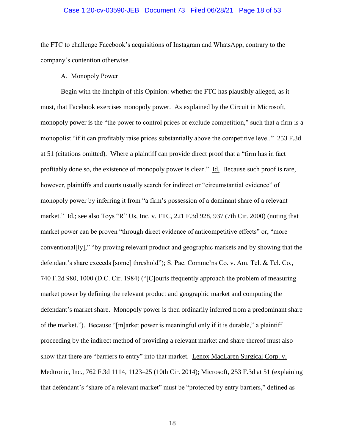## Case 1:20-cv-03590-JEB Document 73 Filed 06/28/21 Page 18 of 53

the FTC to challenge Facebook's acquisitions of Instagram and WhatsApp, contrary to the company's contention otherwise.

#### A. Monopoly Power

<span id="page-17-0"></span>Begin with the linchpin of this Opinion: whether the FTC has plausibly alleged, as it must, that Facebook exercises monopoly power. As explained by the Circuit in Microsoft, monopoly power is the "the power to control prices or exclude competition," such that a firm is a monopolist "if it can profitably raise prices substantially above the competitive level." 253 F.3d at 51 (citations omitted). Where a plaintiff can provide direct proof that a "firm has in fact profitably done so, the existence of monopoly power is clear." Id. Because such proof is rare, however, plaintiffs and courts usually search for indirect or "circumstantial evidence" of monopoly power by inferring it from "a firm's possession of a dominant share of a relevant market." Id.; see also Toys "R" Us, Inc. v. FTC, 221 F.3d 928, 937 (7th Cir. 2000) (noting that market power can be proven "through direct evidence of anticompetitive effects" or, "more conventional[ly]," "by proving relevant product and geographic markets and by showing that the defendant's share exceeds [some] threshold"); S. Pac. Commc'ns Co. v. Am. Tel. & Tel. Co., 740 F.2d 980, 1000 (D.C. Cir. 1984) ("[C]ourts frequently approach the problem of measuring market power by defining the relevant product and geographic market and computing the defendant's market share. Monopoly power is then ordinarily inferred from a predominant share of the market."). Because "[m]arket power is meaningful only if it is durable," a plaintiff proceeding by the indirect method of providing a relevant market and share thereof must also show that there are "barriers to entry" into that market. Lenox MacLaren Surgical Corp. v. Medtronic, Inc., 762 F.3d 1114, 1123–25 (10th Cir. 2014); Microsoft, 253 F.3d at 51 (explaining that defendant's "share of a relevant market" must be "protected by entry barriers," defined as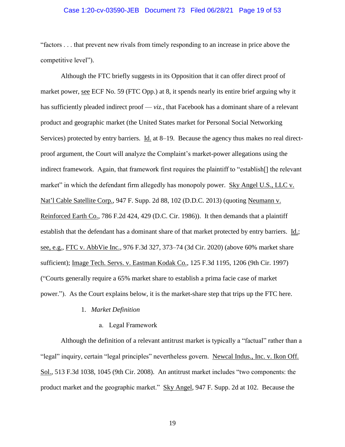#### Case 1:20-cv-03590-JEB Document 73 Filed 06/28/21 Page 19 of 53

"factors . . . that prevent new rivals from timely responding to an increase in price above the competitive level").

Although the FTC briefly suggests in its Opposition that it can offer direct proof of market power, see ECF No. 59 (FTC Opp.) at 8, it spends nearly its entire brief arguing why it has sufficiently pleaded indirect proof — *viz.*, that Facebook has a dominant share of a relevant product and geographic market (the United States market for Personal Social Networking Services) protected by entry barriers. Id. at 8–19. Because the agency thus makes no real directproof argument, the Court will analyze the Complaint's market-power allegations using the indirect framework. Again, that framework first requires the plaintiff to "establish[] the relevant market" in which the defendant firm allegedly has monopoly power. Sky Angel U.S., LLC v. Nat'l Cable Satellite Corp., 947 F. Supp. 2d 88, 102 (D.D.C. 2013) (quoting Neumann v. Reinforced Earth Co., 786 F.2d 424, 429 (D.C. Cir. 1986)). It then demands that a plaintiff establish that the defendant has a dominant share of that market protected by entry barriers. Id.; see, e.g., FTC v. AbbVie Inc., 976 F.3d 327, 373–74 (3d Cir. 2020) (above 60% market share sufficient); Image Tech. Servs. v. Eastman Kodak Co., 125 F.3d 1195, 1206 (9th Cir. 1997) ("Courts generally require a 65% market share to establish a prima facie case of market power."). As the Court explains below, it is the market-share step that trips up the FTC here.

## 1. *Market Definition*

a. Legal Framework

<span id="page-18-1"></span><span id="page-18-0"></span>Although the definition of a relevant antitrust market is typically a "factual" rather than a "legal" inquiry, certain "legal principles" nevertheless govern. Newcal Indus., Inc. v. Ikon Off. Sol., 513 F.3d 1038, 1045 (9th Cir. 2008). An antitrust market includes "two components: the product market and the geographic market." Sky Angel, 947 F. Supp. 2d at 102. Because the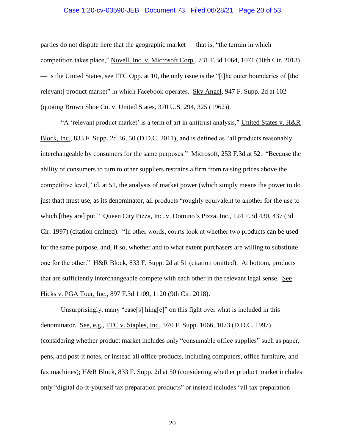#### Case 1:20-cv-03590-JEB Document 73 Filed 06/28/21 Page 20 of 53

parties do not dispute here that the geographic market — that is, "the terrain in which competition takes place," Novell, Inc. v. Microsoft Corp., 731 F.3d 1064, 1071 (10th Cir. 2013) — is the United States, see FTC Opp. at 10, the only issue is the "[t]he outer boundaries of [the relevant] product market" in which Facebook operates. Sky Angel, 947 F. Supp. 2d at 102 (quoting Brown Shoe Co. v. United States, 370 U.S. 294, 325 (1962)).

"A 'relevant product market' is a term of art in antitrust analysis," United States v. H&R Block, Inc., 833 F. Supp. 2d 36, 50 (D.D.C. 2011), and is defined as "all products reasonably interchangeable by consumers for the same purposes." Microsoft, 253 F.3d at 52. "Because the ability of consumers to turn to other suppliers restrains a firm from raising prices above the competitive level," id. at 51, the analysis of market power (which simply means the power to do just that) must use, as its denominator, all products "roughly equivalent to another for the use to which [they are] put." Queen City Pizza, Inc. v. Domino's Pizza, Inc., 124 F.3d 430, 437 (3d Cir. 1997) (citation omitted). "In other words, courts look at whether two products can be used for the same purpose, and, if so, whether and to what extent purchasers are willing to substitute one for the other." H&R Block, 833 F. Supp. 2d at 51 (citation omitted). At bottom, products that are sufficiently interchangeable compete with each other in the relevant legal sense. See Hicks v. PGA Tour, Inc., 897 F.3d 1109, 1120 (9th Cir. 2018).

Unsurprisingly, many "case[s] hing[e]" on this fight over what is included in this denominator. See, e.g., FTC v. Staples, Inc., 970 F. Supp. 1066, 1073 (D.D.C. 1997) (considering whether product market includes only "consumable office supplies" such as paper, pens, and post-it notes, or instead all office products, including computers, office furniture, and fax machines); H&R Block, 833 F. Supp. 2d at 50 (considering whether product market includes only "digital do-it-yourself tax preparation products" or instead includes "all tax preparation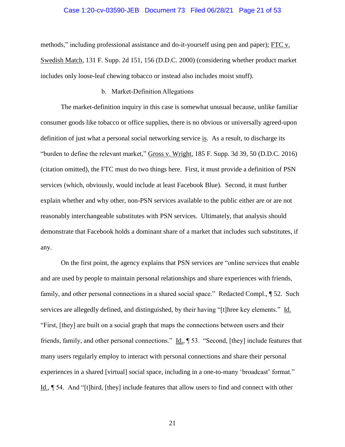#### Case 1:20-cv-03590-JEB Document 73 Filed 06/28/21 Page 21 of 53

methods," including professional assistance and do-it-yourself using pen and paper); FTC v. Swedish Match, 131 F. Supp. 2d 151, 156 (D.D.C. 2000) (considering whether product market includes only loose-leaf chewing tobacco or instead also includes moist snuff).

## b. Market-Definition Allegations

<span id="page-20-0"></span>The market-definition inquiry in this case is somewhat unusual because, unlike familiar consumer goods like tobacco or office supplies, there is no obvious or universally agreed-upon definition of just what a personal social networking service is. As a result, to discharge its "burden to define the relevant market," Gross v. Wright, 185 F. Supp. 3d 39, 50 (D.D.C. 2016) (citation omitted), the FTC must do two things here. First, it must provide a definition of PSN services (which, obviously, would include at least Facebook Blue). Second, it must further explain whether and why other, non-PSN services available to the public either are or are not reasonably interchangeable substitutes with PSN services. Ultimately, that analysis should demonstrate that Facebook holds a dominant share of a market that includes such substitutes, if any.

On the first point, the agency explains that PSN services are "online services that enable and are used by people to maintain personal relationships and share experiences with friends, family, and other personal connections in a shared social space." Redacted Compl.,  $\sqrt{ }$  52. Such services are allegedly defined, and distinguished, by their having "[t]hree key elements." Id. "First, [they] are built on a social graph that maps the connections between users and their friends, family, and other personal connections." Id., ¶ 53. "Second, [they] include features that many users regularly employ to interact with personal connections and share their personal experiences in a shared [virtual] social space, including in a one-to-many 'broadcast' format." Id., ¶ 54. And "[t]hird, [they] include features that allow users to find and connect with other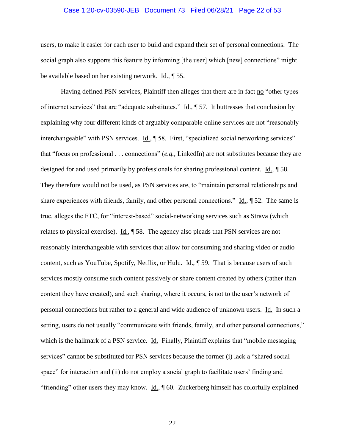#### Case 1:20-cv-03590-JEB Document 73 Filed 06/28/21 Page 22 of 53

users, to make it easier for each user to build and expand their set of personal connections. The social graph also supports this feature by informing [the user] which [new] connections" might be available based on her existing network. Id., ¶ 55.

Having defined PSN services, Plaintiff then alleges that there are in fact no "other types of internet services" that are "adequate substitutes." Id., ¶ 57. It buttresses that conclusion by explaining why four different kinds of arguably comparable online services are not "reasonably interchangeable" with PSN services. Id., ¶ 58. First, "specialized social networking services" that "focus on professional . . . connections" (*e.g.*, LinkedIn) are not substitutes because they are designed for and used primarily by professionals for sharing professional content. Id., ¶ 58. They therefore would not be used, as PSN services are, to "maintain personal relationships and share experiences with friends, family, and other personal connections."  $\underline{Id}$ ,  $\P$  52. The same is true, alleges the FTC, for "interest-based" social-networking services such as Strava (which relates to physical exercise). Id., ¶ 58. The agency also pleads that PSN services are not reasonably interchangeable with services that allow for consuming and sharing video or audio content, such as YouTube, Spotify, Netflix, or Hulu. Id., ¶ 59. That is because users of such services mostly consume such content passively or share content created by others (rather than content they have created), and such sharing, where it occurs, is not to the user's network of personal connections but rather to a general and wide audience of unknown users. Id. In such a setting, users do not usually "communicate with friends, family, and other personal connections," which is the hallmark of a PSN service. Id. Finally, Plaintiff explains that "mobile messaging services" cannot be substituted for PSN services because the former (i) lack a "shared social space" for interaction and (ii) do not employ a social graph to facilitate users' finding and "friending" other users they may know. Id.,  $\parallel$  60. Zuckerberg himself has colorfully explained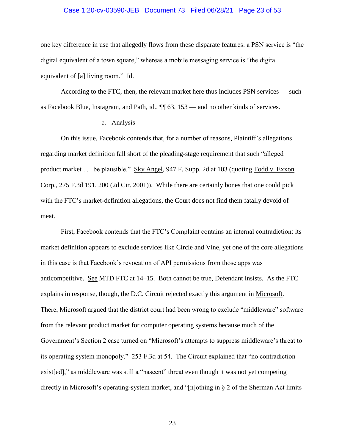#### Case 1:20-cv-03590-JEB Document 73 Filed 06/28/21 Page 23 of 53

one key difference in use that allegedly flows from these disparate features: a PSN service is "the digital equivalent of a town square," whereas a mobile messaging service is "the digital equivalent of [a] living room." Id.

According to the FTC, then, the relevant market here thus includes PSN services — such as Facebook Blue, Instagram, and Path, id., ¶¶ 63, 153 — and no other kinds of services.

## c. Analysis

<span id="page-22-0"></span>On this issue, Facebook contends that, for a number of reasons, Plaintiff's allegations regarding market definition fall short of the pleading-stage requirement that such "alleged product market . . . be plausible." Sky Angel, 947 F. Supp. 2d at 103 (quoting Todd v. Exxon Corp., 275 F.3d 191, 200 (2d Cir. 2001)). While there are certainly bones that one could pick with the FTC's market-definition allegations, the Court does not find them fatally devoid of meat.

First, Facebook contends that the FTC's Complaint contains an internal contradiction: its market definition appears to exclude services like Circle and Vine, yet one of the core allegations in this case is that Facebook's revocation of API permissions from those apps was anticompetitive. See MTD FTC at 14–15. Both cannot be true, Defendant insists. As the FTC explains in response, though, the D.C. Circuit rejected exactly this argument in Microsoft. There, Microsoft argued that the district court had been wrong to exclude "middleware" software from the relevant product market for computer operating systems because much of the Government's Section 2 case turned on "Microsoft's attempts to suppress middleware's threat to its operating system monopoly." 253 F.3d at 54. The Circuit explained that "no contradiction exist[ed]," as middleware was still a "nascent" threat even though it was not yet competing directly in Microsoft's operating-system market, and "[n]othing in § 2 of the Sherman Act limits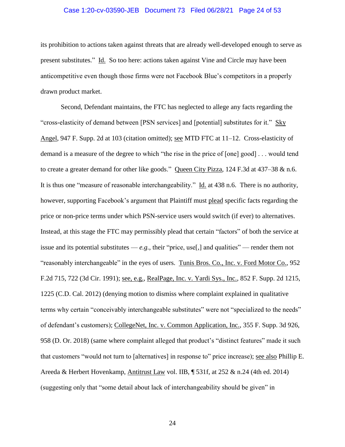## Case 1:20-cv-03590-JEB Document 73 Filed 06/28/21 Page 24 of 53

its prohibition to actions taken against threats that are already well-developed enough to serve as present substitutes." Id. So too here: actions taken against Vine and Circle may have been anticompetitive even though those firms were not Facebook Blue's competitors in a properly drawn product market.

Second, Defendant maintains, the FTC has neglected to allege any facts regarding the "cross-elasticity of demand between [PSN services] and [potential] substitutes for it." Sky Angel, 947 F. Supp. 2d at 103 (citation omitted); see MTD FTC at 11–12. Cross-elasticity of demand is a measure of the degree to which "the rise in the price of [one] good] . . . would tend to create a greater demand for other like goods." Queen City Pizza, 124 F.3d at 437–38 & n.6. It is thus one "measure of reasonable interchangeability." Id. at 438 n.6. There is no authority, however, supporting Facebook's argument that Plaintiff must plead specific facts regarding the price or non-price terms under which PSN-service users would switch (if ever) to alternatives. Instead, at this stage the FTC may permissibly plead that certain "factors" of both the service at issue and its potential substitutes —  $e.g.,$  their "price, use[,] and qualities" — render them not "reasonably interchangeable" in the eyes of users. Tunis Bros. Co., Inc. v. Ford Motor Co., 952 F.2d 715, 722 (3d Cir. 1991); see, e.g., RealPage, Inc. v. Yardi Sys., Inc., 852 F. Supp. 2d 1215, 1225 (C.D. Cal. 2012) (denying motion to dismiss where complaint explained in qualitative terms why certain "conceivably interchangeable substitutes" were not "specialized to the needs" of defendant's customers); CollegeNet, Inc. v. Common Application, Inc., 355 F. Supp. 3d 926, 958 (D. Or. 2018) (same where complaint alleged that product's "distinct features" made it such that customers "would not turn to [alternatives] in response to" price increase); see also Phillip E. Areeda & Herbert Hovenkamp, Antitrust Law vol. IIB, ¶ 531f, at 252 & n.24 (4th ed. 2014) (suggesting only that "some detail about lack of interchangeability should be given" in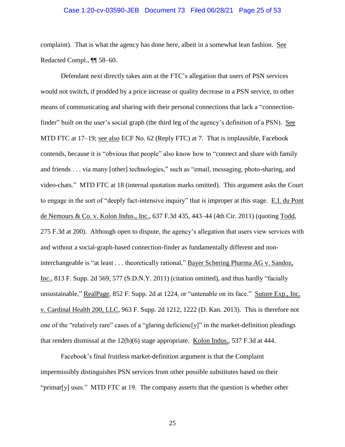#### Case 1:20-cv-03590-JEB Document 73 Filed 06/28/21 Page 25 of 53

complaint). That is what the agency has done here, albeit in a somewhat lean fashion. See Redacted Compl., ¶¶ 58–60.

Defendant next directly takes aim at the FTC's allegation that users of PSN services would not switch, if prodded by a price increase or quality decrease in a PSN service, to other means of communicating and sharing with their personal connections that lack a "connectionfinder" built on the user's social graph (the third leg of the agency's definition of a PSN). See MTD FTC at 17–19; see also ECF No. 62 (Reply FTC) at 7. That is implausible, Facebook contends, because it is "obvious that people" also know how to "connect and share with family and friends . . . via many [other] technologies," such as "email, messaging, photo-sharing, and video-chats." MTD FTC at 18 (internal quotation marks omitted). This argument asks the Court to engage in the sort of "deeply fact-intensive inquiry" that is improper at this stage. E.I. du Pont de Nemours & Co. v. Kolon Indus., Inc., 637 F.3d 435, 443–44 (4th Cir. 2011) (quoting Todd, 275 F.3d at 200). Although open to dispute, the agency's allegation that users view services with and without a social-graph-based connection-finder as fundamentally different and noninterchangeable is "at least . . . theoretically rational," Bayer Schering Pharma AG v. Sandoz, Inc., 813 F. Supp. 2d 569, 577 (S.D.N.Y. 2011) (citation omitted), and thus hardly "facially unsustainable," RealPage, 852 F. Supp. 2d at 1224, or "untenable on its face." Suture Exp., Inc. v. Cardinal Health 200, LLC, 963 F. Supp. 2d 1212, 1222 (D. Kan. 2013). This is therefore not one of the "relatively rare" cases of a "glaring deficienc[y]" in the market-definition pleadings that renders dismissal at the  $12(b)(6)$  stage appropriate. Kolon Indus., 537 F.3d at 444.

Facebook's final fruitless market-definition argument is that the Complaint impermissibly distinguishes PSN services from other possible substitutes based on their "primar[y] uses." MTD FTC at 19. The company asserts that the question is whether other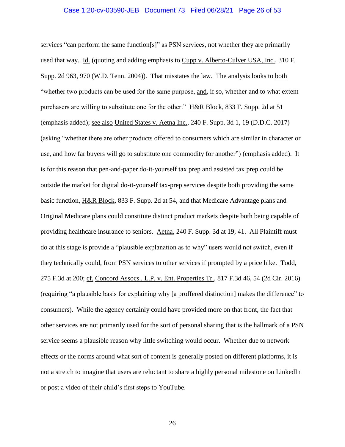#### Case 1:20-cv-03590-JEB Document 73 Filed 06/28/21 Page 26 of 53

services "can perform the same function[s]" as PSN services, not whether they are primarily used that way. Id. (quoting and adding emphasis to Cupp v. Alberto-Culver USA, Inc., 310 F. Supp. 2d 963, 970 (W.D. Tenn. 2004)). That misstates the law. The analysis looks to both "whether two products can be used for the same purpose, and, if so, whether and to what extent purchasers are willing to substitute one for the other." H&R Block, 833 F. Supp. 2d at 51 (emphasis added); see also United States v. Aetna Inc., 240 F. Supp. 3d 1, 19 (D.D.C. 2017) (asking "whether there are other products offered to consumers which are similar in character or use, and how far buyers will go to substitute one commodity for another") (emphasis added). It is for this reason that pen-and-paper do-it-yourself tax prep and assisted tax prep could be outside the market for digital do-it-yourself tax-prep services despite both providing the same basic function, H&R Block, 833 F. Supp. 2d at 54, and that Medicare Advantage plans and Original Medicare plans could constitute distinct product markets despite both being capable of providing healthcare insurance to seniors. Aetna, 240 F. Supp. 3d at 19, 41. All Plaintiff must do at this stage is provide a "plausible explanation as to why" users would not switch, even if they technically could, from PSN services to other services if prompted by a price hike. Todd, 275 F.3d at 200; cf. Concord Assocs., L.P. v. Ent. Properties Tr., 817 F.3d 46, 54 (2d Cir. 2016) (requiring "a plausible basis for explaining why [a proffered distinction] makes the difference" to consumers). While the agency certainly could have provided more on that front, the fact that other services are not primarily used for the sort of personal sharing that is the hallmark of a PSN service seems a plausible reason why little switching would occur. Whether due to network effects or the norms around what sort of content is generally posted on different platforms, it is not a stretch to imagine that users are reluctant to share a highly personal milestone on LinkedIn or post a video of their child's first steps to YouTube.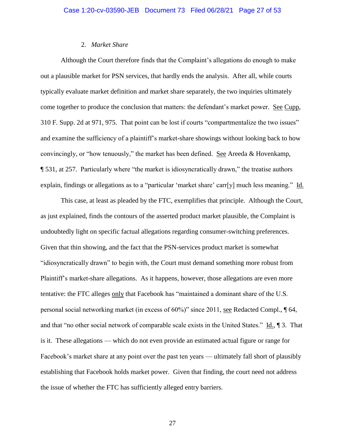## 2. *Market Share*

<span id="page-26-0"></span>Although the Court therefore finds that the Complaint's allegations do enough to make out a plausible market for PSN services, that hardly ends the analysis. After all, while courts typically evaluate market definition and market share separately, the two inquiries ultimately come together to produce the conclusion that matters: the defendant's market power. See Cupp, 310 F. Supp. 2d at 971, 975. That point can be lost if courts "compartmentalize the two issues" and examine the sufficiency of a plaintiff's market-share showings without looking back to how convincingly, or "how tenuously," the market has been defined. See Areeda & Hovenkamp, ¶ 531, at 257. Particularly where "the market is idiosyncratically drawn," the treatise authors explain, findings or allegations as to a "particular 'market share' carr[y] much less meaning." Id.

This case, at least as pleaded by the FTC, exemplifies that principle. Although the Court, as just explained, finds the contours of the asserted product market plausible, the Complaint is undoubtedly light on specific factual allegations regarding consumer-switching preferences. Given that thin showing, and the fact that the PSN-services product market is somewhat "idiosyncratically drawn" to begin with, the Court must demand something more robust from Plaintiff's market-share allegations. As it happens, however, those allegations are even more tentative: the FTC alleges only that Facebook has "maintained a dominant share of the U.S. personal social networking market (in excess of 60%)" since 2011, see Redacted Compl., ¶ 64, and that "no other social network of comparable scale exists in the United States." Id., ¶ 3. That is it. These allegations — which do not even provide an estimated actual figure or range for Facebook's market share at any point over the past ten years — ultimately fall short of plausibly establishing that Facebook holds market power. Given that finding, the court need not address the issue of whether the FTC has sufficiently alleged entry barriers.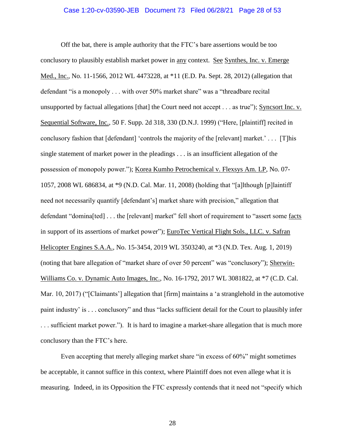#### Case 1:20-cv-03590-JEB Document 73 Filed 06/28/21 Page 28 of 53

Off the bat, there is ample authority that the FTC's bare assertions would be too conclusory to plausibly establish market power in any context. See Synthes, Inc. v. Emerge Med., Inc., No. 11-1566, 2012 WL 4473228, at \*11 (E.D. Pa. Sept. 28, 2012) (allegation that defendant "is a monopoly . . . with over 50% market share" was a "threadbare recital unsupported by factual allegations [that] the Court need not accept . . . as true"); Syncsort Inc. v. Sequential Software, Inc., 50 F. Supp. 2d 318, 330 (D.N.J. 1999) ("Here, [plaintiff] recited in conclusory fashion that [defendant] 'controls the majority of the [relevant] market.' . . . [T]his single statement of market power in the pleadings . . . is an insufficient allegation of the possession of monopoly power."); Korea Kumho Petrochemical v. Flexsys Am. LP, No. 07- 1057, 2008 WL 686834, at \*9 (N.D. Cal. Mar. 11, 2008) (holding that "[a]lthough [p]laintiff need not necessarily quantify [defendant's] market share with precision," allegation that defendant "domina[ted] . . . the [relevant] market" fell short of requirement to "assert some facts in support of its assertions of market power"); EuroTec Vertical Flight Sols., LLC. v. Safran Helicopter Engines S.A.A., No. 15-3454, 2019 WL 3503240, at \*3 (N.D. Tex. Aug. 1, 2019) (noting that bare allegation of "market share of over 50 percent" was "conclusory"); Sherwin-Williams Co. v. Dynamic Auto Images, Inc., No. 16-1792, 2017 WL 3081822, at \*7 (C.D. Cal. Mar. 10, 2017) ("[Claimants'] allegation that [firm] maintains a 'a stranglehold in the automotive paint industry' is . . . conclusory" and thus "lacks sufficient detail for the Court to plausibly infer . . . sufficient market power."). It is hard to imagine a market-share allegation that is much more conclusory than the FTC's here.

Even accepting that merely alleging market share "in excess of 60%" might sometimes be acceptable, it cannot suffice in this context, where Plaintiff does not even allege what it is measuring. Indeed, in its Opposition the FTC expressly contends that it need not "specify which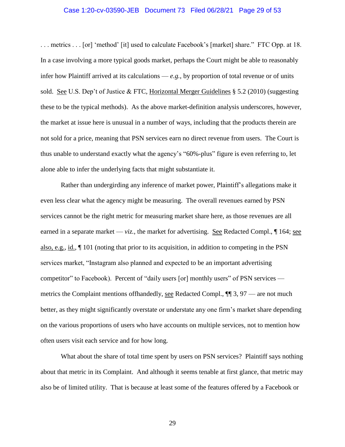#### Case 1:20-cv-03590-JEB Document 73 Filed 06/28/21 Page 29 of 53

. . . metrics . . . [or] 'method' [it] used to calculate Facebook's [market] share." FTC Opp. at 18. In a case involving a more typical goods market, perhaps the Court might be able to reasonably infer how Plaintiff arrived at its calculations  $-e.g.,$  by proportion of total revenue or of units sold. See U.S. Dep't of Justice & FTC, Horizontal Merger Guidelines § 5.2 (2010) (suggesting these to be the typical methods). As the above market-definition analysis underscores, however, the market at issue here is unusual in a number of ways, including that the products therein are not sold for a price, meaning that PSN services earn no direct revenue from users. The Court is thus unable to understand exactly what the agency's "60%-plus" figure is even referring to, let alone able to infer the underlying facts that might substantiate it.

Rather than undergirding any inference of market power, Plaintiff's allegations make it even less clear what the agency might be measuring. The overall revenues earned by PSN services cannot be the right metric for measuring market share here, as those revenues are all earned in a separate market — *viz.*, the market for advertising. See Redacted Compl.,  $\P$  164; see also, e.g., id., ¶ 101 (noting that prior to its acquisition, in addition to competing in the PSN services market, "Instagram also planned and expected to be an important advertising competitor" to Facebook). Percent of "daily users [or] monthly users" of PSN services metrics the Complaint mentions of thandedly, <u>see</u> Redacted Compl.,  $\P$  3, 97 — are not much better, as they might significantly overstate or understate any one firm's market share depending on the various proportions of users who have accounts on multiple services, not to mention how often users visit each service and for how long.

What about the share of total time spent by users on PSN services? Plaintiff says nothing about that metric in its Complaint. And although it seems tenable at first glance, that metric may also be of limited utility. That is because at least some of the features offered by a Facebook or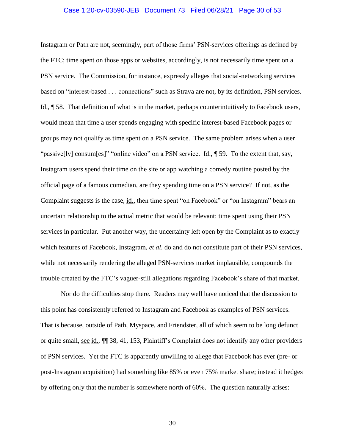#### Case 1:20-cv-03590-JEB Document 73 Filed 06/28/21 Page 30 of 53

Instagram or Path are not, seemingly, part of those firms' PSN-services offerings as defined by the FTC; time spent on those apps or websites, accordingly, is not necessarily time spent on a PSN service. The Commission, for instance, expressly alleges that social-networking services based on "interest-based . . . connections" such as Strava are not, by its definition, PSN services. Id., ¶ 58. That definition of what is in the market, perhaps counterintuitively to Facebook users, would mean that time a user spends engaging with specific interest-based Facebook pages or groups may not qualify as time spent on a PSN service. The same problem arises when a user "passive[ly] consum[es]" "online video" on a PSN service. <u>Id.,</u> 159. To the extent that, say, Instagram users spend their time on the site or app watching a comedy routine posted by the official page of a famous comedian, are they spending time on a PSN service? If not, as the Complaint suggests is the case, id., then time spent "on Facebook" or "on Instagram" bears an uncertain relationship to the actual metric that would be relevant: time spent using their PSN services in particular. Put another way, the uncertainty left open by the Complaint as to exactly which features of Facebook, Instagram, *et al*. do and do not constitute part of their PSN services, while not necessarily rendering the alleged PSN-services market implausible, compounds the trouble created by the FTC's vaguer-still allegations regarding Facebook's share of that market.

Nor do the difficulties stop there. Readers may well have noticed that the discussion to this point has consistently referred to Instagram and Facebook as examples of PSN services. That is because, outside of Path, Myspace, and Friendster, all of which seem to be long defunct or quite small, see id., ¶¶ 38, 41, 153, Plaintiff's Complaint does not identify any other providers of PSN services. Yet the FTC is apparently unwilling to allege that Facebook has ever (pre- or post-Instagram acquisition) had something like 85% or even 75% market share; instead it hedges by offering only that the number is somewhere north of 60%. The question naturally arises: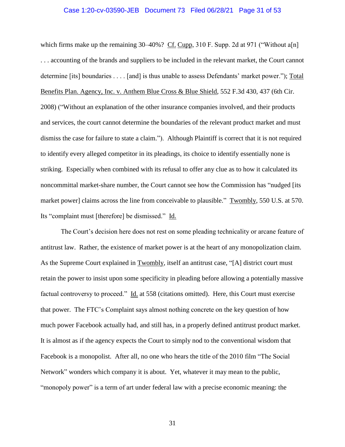#### Case 1:20-cv-03590-JEB Document 73 Filed 06/28/21 Page 31 of 53

which firms make up the remaining  $30-40\%$ ? Cf. Cupp,  $310$  F. Supp. 2d at 971 ("Without a[n] . . . accounting of the brands and suppliers to be included in the relevant market, the Court cannot determine [its] boundaries . . . . [and] is thus unable to assess Defendants' market power."); Total Benefits Plan. Agency, Inc. v. Anthem Blue Cross & Blue Shield, 552 F.3d 430, 437 (6th Cir. 2008) ("Without an explanation of the other insurance companies involved, and their products and services, the court cannot determine the boundaries of the relevant product market and must dismiss the case for failure to state a claim."). Although Plaintiff is correct that it is not required to identify every alleged competitor in its pleadings, its choice to identify essentially none is striking. Especially when combined with its refusal to offer any clue as to how it calculated its noncommittal market-share number, the Court cannot see how the Commission has "nudged [its market power] claims across the line from conceivable to plausible." Twombly, 550 U.S. at 570. Its "complaint must [therefore] be dismissed." Id.

The Court's decision here does not rest on some pleading technicality or arcane feature of antitrust law. Rather, the existence of market power is at the heart of any monopolization claim. As the Supreme Court explained in Twombly, itself an antitrust case, "[A] district court must retain the power to insist upon some specificity in pleading before allowing a potentially massive factual controversy to proceed."  $\underline{Id}$  at 558 (citations omitted). Here, this Court must exercise that power. The FTC's Complaint says almost nothing concrete on the key question of how much power Facebook actually had, and still has, in a properly defined antitrust product market. It is almost as if the agency expects the Court to simply nod to the conventional wisdom that Facebook is a monopolist. After all, no one who hears the title of the 2010 film "The Social Network" wonders which company it is about. Yet, whatever it may mean to the public, "monopoly power" is a term of art under federal law with a precise economic meaning: the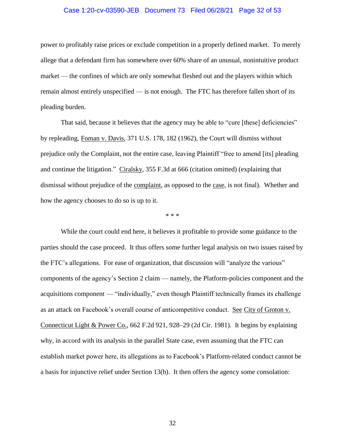## Case 1:20-cv-03590-JEB Document 73 Filed 06/28/21 Page 32 of 53

power to profitably raise prices or exclude competition in a properly defined market. To merely allege that a defendant firm has somewhere over 60% share of an unusual, nonintuitive product market — the confines of which are only somewhat fleshed out and the players within which remain almost entirely unspecified — is not enough. The FTC has therefore fallen short of its pleading burden.

That said, because it believes that the agency may be able to "cure [these] deficiencies" by repleading, Foman v. Davis, 371 U.S. 178, 182 (1962), the Court will dismiss without prejudice only the Complaint, not the entire case, leaving Plaintiff "free to amend [its] pleading and continue the litigation." Ciralsky, 355 F.3d at 666 (citation omitted) (explaining that dismissal without prejudice of the complaint, as opposed to the case, is not final). Whether and how the agency chooses to do so is up to it.

\* \* \*

While the court could end here, it believes it profitable to provide some guidance to the parties should the case proceed. It thus offers some further legal analysis on two issues raised by the FTC's allegations. For ease of organization, that discussion will "analyze the various" components of the agency's Section 2 claim — namely, the Platform-policies component and the acquisitions component — "individually," even though Plaintiff technically frames its challenge as an attack on Facebook's overall course of anticompetitive conduct. See City of Groton v. Connecticut Light & Power Co., 662 F.2d 921, 928–29 (2d Cir. 1981). It begins by explaining why, in accord with its analysis in the parallel State case, even assuming that the FTC can establish market power here, its allegations as to Facebook's Platform-related conduct cannot be a basis for injunctive relief under Section 13(b). It then offers the agency some consolation: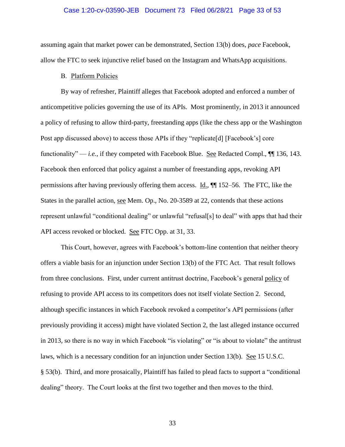#### Case 1:20-cv-03590-JEB Document 73 Filed 06/28/21 Page 33 of 53

assuming again that market power can be demonstrated, Section 13(b) does, *pace* Facebook, allow the FTC to seek injunctive relief based on the Instagram and WhatsApp acquisitions.

#### B. Platform Policies

<span id="page-32-0"></span>By way of refresher, Plaintiff alleges that Facebook adopted and enforced a number of anticompetitive policies governing the use of its APIs. Most prominently, in 2013 it announced a policy of refusing to allow third-party, freestanding apps (like the chess app or the Washington Post app discussed above) to access those APIs if they "replicate[d] [Facebook's] core functionality" — *i.e.*, if they competed with Facebook Blue. See Redacted Compl., ¶¶ 136, 143. Facebook then enforced that policy against a number of freestanding apps, revoking API permissions after having previously offering them access. Id., ¶¶ 152–56. The FTC, like the States in the parallel action, see Mem. Op., No. 20-3589 at 22, contends that these actions represent unlawful "conditional dealing" or unlawful "refusal[s] to deal" with apps that had their API access revoked or blocked. See FTC Opp. at 31, 33.

This Court, however, agrees with Facebook's bottom-line contention that neither theory offers a viable basis for an injunction under Section 13(b) of the FTC Act. That result follows from three conclusions. First, under current antitrust doctrine, Facebook's general policy of refusing to provide API access to its competitors does not itself violate Section 2. Second, although specific instances in which Facebook revoked a competitor's API permissions (after previously providing it access) might have violated Section 2, the last alleged instance occurred in 2013, so there is no way in which Facebook "is violating" or "is about to violate" the antitrust laws, which is a necessary condition for an injunction under Section 13(b). See 15 U.S.C. § 53(b). Third, and more prosaically, Plaintiff has failed to plead facts to support a "conditional dealing" theory. The Court looks at the first two together and then moves to the third.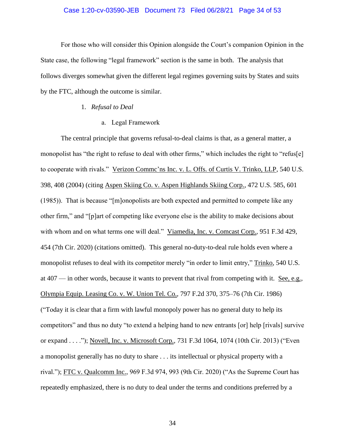#### Case 1:20-cv-03590-JEB Document 73 Filed 06/28/21 Page 34 of 53

For those who will consider this Opinion alongside the Court's companion Opinion in the State case, the following "legal framework" section is the same in both. The analysis that follows diverges somewhat given the different legal regimes governing suits by States and suits by the FTC, although the outcome is similar.

## 1. *Refusal to Deal*

a. Legal Framework

<span id="page-33-1"></span><span id="page-33-0"></span>The central principle that governs refusal-to-deal claims is that, as a general matter, a monopolist has "the right to refuse to deal with other firms," which includes the right to "refus[e] to cooperate with rivals." Verizon Commc'ns Inc. v. L. Offs. of Curtis V. Trinko, LLP, 540 U.S. 398, 408 (2004) (citing Aspen Skiing Co. v. Aspen Highlands Skiing Corp., 472 U.S. 585, 601 (1985)). That is because "[m]onopolists are both expected and permitted to compete like any other firm," and "[p]art of competing like everyone else is the ability to make decisions about with whom and on what terms one will deal." Viamedia, Inc. v. Comcast Corp., 951 F.3d 429, 454 (7th Cir. 2020) (citations omitted). This general no-duty-to-deal rule holds even where a monopolist refuses to deal with its competitor merely "in order to limit entry," Trinko, 540 U.S. at 407 — in other words, because it wants to prevent that rival from competing with it. See, e.g., Olympia Equip. Leasing Co. v. W. Union Tel. Co., 797 F.2d 370, 375–76 (7th Cir. 1986) ("Today it is clear that a firm with lawful monopoly power has no general duty to help its competitors" and thus no duty "to extend a helping hand to new entrants [or] help [rivals] survive or expand . . . ."); Novell, Inc. v. Microsoft Corp., 731 F.3d 1064, 1074 (10th Cir. 2013) ("Even a monopolist generally has no duty to share . . . its intellectual or physical property with a rival."); FTC v. Qualcomm Inc., 969 F.3d 974, 993 (9th Cir. 2020) ("As the Supreme Court has repeatedly emphasized, there is no duty to deal under the terms and conditions preferred by a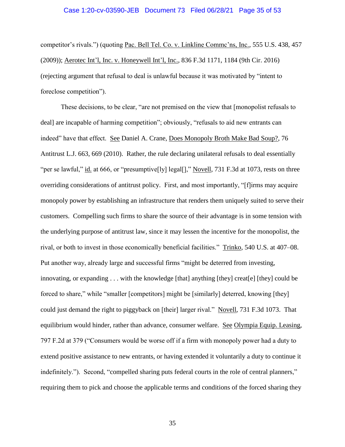#### Case 1:20-cv-03590-JEB Document 73 Filed 06/28/21 Page 35 of 53

competitor's rivals.") (quoting Pac. Bell Tel. Co. v. Linkline Commc'ns, Inc., 555 U.S. 438, 457 (2009)); Aerotec Int'l, Inc. v. Honeywell Int'l, Inc., 836 F.3d 1171, 1184 (9th Cir. 2016) (rejecting argument that refusal to deal is unlawful because it was motivated by "intent to foreclose competition").

These decisions, to be clear, "are not premised on the view that [monopolist refusals to deal] are incapable of harming competition"; obviously, "refusals to aid new entrants can indeed" have that effect. See Daniel A. Crane, Does Monopoly Broth Make Bad Soup?, 76 Antitrust L.J. 663, 669 (2010). Rather, the rule declaring unilateral refusals to deal essentially "per se lawful," id. at 666, or "presumptive[ly] legal[]," Novell, 731 F.3d at 1073, rests on three overriding considerations of antitrust policy. First, and most importantly, "[f]irms may acquire monopoly power by establishing an infrastructure that renders them uniquely suited to serve their customers. Compelling such firms to share the source of their advantage is in some tension with the underlying purpose of antitrust law, since it may lessen the incentive for the monopolist, the rival, or both to invest in those economically beneficial facilities." Trinko, 540 U.S. at 407–08. Put another way, already large and successful firms "might be deterred from investing, innovating, or expanding . . . with the knowledge [that] anything [they] creat[e] [they] could be forced to share," while "smaller [competitors] might be [similarly] deterred, knowing [they] could just demand the right to piggyback on [their] larger rival." Novell, 731 F.3d 1073. That equilibrium would hinder, rather than advance, consumer welfare. See Olympia Equip. Leasing, 797 F.2d at 379 ("Consumers would be worse off if a firm with monopoly power had a duty to extend positive assistance to new entrants, or having extended it voluntarily a duty to continue it indefinitely."). Second, "compelled sharing puts federal courts in the role of central planners," requiring them to pick and choose the applicable terms and conditions of the forced sharing they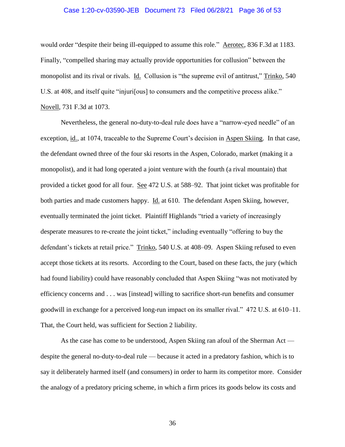## Case 1:20-cv-03590-JEB Document 73 Filed 06/28/21 Page 36 of 53

would order "despite their being ill-equipped to assume this role." Aerotec, 836 F.3d at 1183. Finally, "compelled sharing may actually provide opportunities for collusion" between the monopolist and its rival or rivals. Id. Collusion is "the supreme evil of antitrust," Trinko, 540 U.S. at 408, and itself quite "injuri[ous] to consumers and the competitive process alike." Novell, 731 F.3d at 1073.

Nevertheless, the general no-duty-to-deal rule does have a "narrow-eyed needle" of an exception, id., at 1074, traceable to the Supreme Court's decision in Aspen Skiing. In that case, the defendant owned three of the four ski resorts in the Aspen, Colorado, market (making it a monopolist), and it had long operated a joint venture with the fourth (a rival mountain) that provided a ticket good for all four. See 472 U.S. at 588–92. That joint ticket was profitable for both parties and made customers happy. Id. at 610. The defendant Aspen Skiing, however, eventually terminated the joint ticket. Plaintiff Highlands "tried a variety of increasingly desperate measures to re-create the joint ticket," including eventually "offering to buy the defendant's tickets at retail price." Trinko, 540 U.S. at 408–09. Aspen Skiing refused to even accept those tickets at its resorts. According to the Court, based on these facts, the jury (which had found liability) could have reasonably concluded that Aspen Skiing "was not motivated by efficiency concerns and . . . was [instead] willing to sacrifice short-run benefits and consumer goodwill in exchange for a perceived long-run impact on its smaller rival." 472 U.S. at 610–11. That, the Court held, was sufficient for Section 2 liability.

As the case has come to be understood, Aspen Skiing ran afoul of the Sherman Act despite the general no-duty-to-deal rule — because it acted in a predatory fashion, which is to say it deliberately harmed itself (and consumers) in order to harm its competitor more. Consider the analogy of a predatory pricing scheme, in which a firm prices its goods below its costs and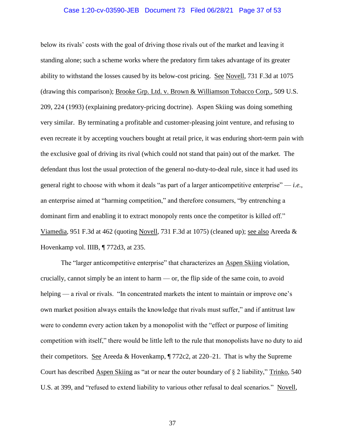#### Case 1:20-cv-03590-JEB Document 73 Filed 06/28/21 Page 37 of 53

below its rivals' costs with the goal of driving those rivals out of the market and leaving it standing alone; such a scheme works where the predatory firm takes advantage of its greater ability to withstand the losses caused by its below-cost pricing. See Novell, 731 F.3d at 1075 (drawing this comparison); Brooke Grp. Ltd. v. Brown & Williamson Tobacco Corp., 509 U.S. 209, 224 (1993) (explaining predatory-pricing doctrine). Aspen Skiing was doing something very similar. By terminating a profitable and customer-pleasing joint venture, and refusing to even recreate it by accepting vouchers bought at retail price, it was enduring short-term pain with the exclusive goal of driving its rival (which could not stand that pain) out of the market. The defendant thus lost the usual protection of the general no-duty-to-deal rule, since it had used its general right to choose with whom it deals "as part of a larger anticompetitive enterprise" — *i.e.*, an enterprise aimed at "harming competition," and therefore consumers, "by entrenching a dominant firm and enabling it to extract monopoly rents once the competitor is killed off." Viamedia, 951 F.3d at 462 (quoting Novell, 731 F.3d at 1075) (cleaned up); see also Areeda & Hovenkamp vol. IIIB, ¶ 772d3, at 235.

The "larger anticompetitive enterprise" that characterizes an Aspen Skiing violation, crucially, cannot simply be an intent to harm — or, the flip side of the same coin, to avoid helping — a rival or rivals. "In concentrated markets the intent to maintain or improve one's own market position always entails the knowledge that rivals must suffer," and if antitrust law were to condemn every action taken by a monopolist with the "effect or purpose of limiting competition with itself," there would be little left to the rule that monopolists have no duty to aid their competitors. See Areeda & Hovenkamp,  $\P$  772c2, at 220–21. That is why the Supreme Court has described Aspen Skiing as "at or near the outer boundary of  $\S 2$  liability," Trinko, 540 U.S. at 399, and "refused to extend liability to various other refusal to deal scenarios." Novell,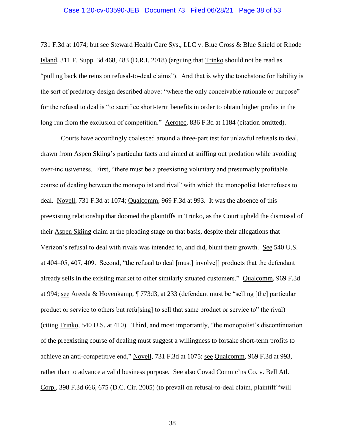#### Case 1:20-cv-03590-JEB Document 73 Filed 06/28/21 Page 38 of 53

731 F.3d at 1074; but see Steward Health Care Sys., LLC v. Blue Cross & Blue Shield of Rhode Island, 311 F. Supp. 3d 468, 483 (D.R.I. 2018) (arguing that Trinko should not be read as "pulling back the reins on refusal-to-deal claims"). And that is why the touchstone for liability is the sort of predatory design described above: "where the only conceivable rationale or purpose" for the refusal to deal is "to sacrifice short-term benefits in order to obtain higher profits in the long run from the exclusion of competition." Aerotec, 836 F.3d at 1184 (citation omitted).

Courts have accordingly coalesced around a three-part test for unlawful refusals to deal, drawn from Aspen Skiing's particular facts and aimed at sniffing out predation while avoiding over-inclusiveness. First, "there must be a preexisting voluntary and presumably profitable course of dealing between the monopolist and rival" with which the monopolist later refuses to deal. Novell, 731 F.3d at 1074; Qualcomm, 969 F.3d at 993. It was the absence of this preexisting relationship that doomed the plaintiffs in Trinko, as the Court upheld the dismissal of their Aspen Skiing claim at the pleading stage on that basis, despite their allegations that Verizon's refusal to deal with rivals was intended to, and did, blunt their growth. See 540 U.S. at 404–05, 407, 409. Second, "the refusal to deal [must] involve[] products that the defendant already sells in the existing market to other similarly situated customers." Qualcomm, 969 F.3d at 994; see Areeda & Hovenkamp, ¶ 773d3, at 233 (defendant must be "selling [the] particular product or service to others but refu[sing] to sell that same product or service to" the rival) (citing Trinko, 540 U.S. at 410). Third, and most importantly, "the monopolist's discontinuation of the preexisting course of dealing must suggest a willingness to forsake short-term profits to achieve an anti-competitive end," Novell, 731 F.3d at 1075; see Qualcomm, 969 F.3d at 993, rather than to advance a valid business purpose. See also Covad Commc'ns Co. v. Bell Atl. Corp., 398 F.3d 666, 675 (D.C. Cir. 2005) (to prevail on refusal-to-deal claim, plaintiff "will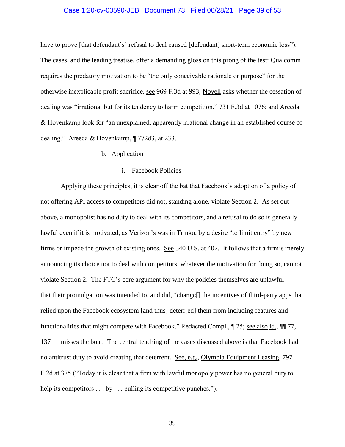#### Case 1:20-cv-03590-JEB Document 73 Filed 06/28/21 Page 39 of 53

have to prove [that defendant's] refusal to deal caused [defendant] short-term economic loss"). The cases, and the leading treatise, offer a demanding gloss on this prong of the test: Qualcomm requires the predatory motivation to be "the only conceivable rationale or purpose" for the otherwise inexplicable profit sacrifice, see 969 F.3d at 993; Novell asks whether the cessation of dealing was "irrational but for its tendency to harm competition," 731 F.3d at 1076; and Areeda & Hovenkamp look for "an unexplained, apparently irrational change in an established course of dealing." Areeda & Hovenkamp, ¶ 772d3, at 233.

#### b. Application

#### i. Facebook Policies

<span id="page-38-1"></span><span id="page-38-0"></span>Applying these principles, it is clear off the bat that Facebook's adoption of a policy of not offering API access to competitors did not, standing alone, violate Section 2. As set out above, a monopolist has no duty to deal with its competitors, and a refusal to do so is generally lawful even if it is motivated, as Verizon's was in Trinko, by a desire "to limit entry" by new firms or impede the growth of existing ones. See 540 U.S. at 407. It follows that a firm's merely announcing its choice not to deal with competitors, whatever the motivation for doing so, cannot violate Section 2. The FTC's core argument for why the policies themselves are unlawful that their promulgation was intended to, and did, "change[] the incentives of third-party apps that relied upon the Facebook ecosystem [and thus] deterr[ed] them from including features and functionalities that might compete with Facebook," Redacted Compl., ¶ 25; see also id., ¶¶ 77, 137 — misses the boat. The central teaching of the cases discussed above is that Facebook had no antitrust duty to avoid creating that deterrent. See, e.g., Olympia Equipment Leasing, 797 F.2d at 375 ("Today it is clear that a firm with lawful monopoly power has no general duty to help its competitors . . . by . . . pulling its competitive punches.").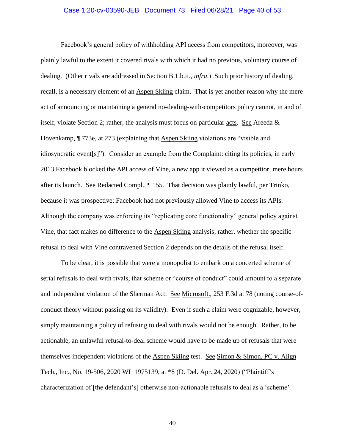#### Case 1:20-cv-03590-JEB Document 73 Filed 06/28/21 Page 40 of 53

Facebook's general policy of withholding API access from competitors, moreover, was plainly lawful to the extent it covered rivals with which it had no previous, voluntary course of dealing. (Other rivals are addressed in Section B.1.b.ii., *infra*.) Such prior history of dealing, recall, is a necessary element of an Aspen Skiing claim. That is yet another reason why the mere act of announcing or maintaining a general no-dealing-with-competitors policy cannot, in and of itself, violate Section 2; rather, the analysis must focus on particular acts. See Areeda  $\&$ Hovenkamp, ¶ 773e, at 273 (explaining that Aspen Skiing violations are "visible and idiosyncratic event[s]"). Consider an example from the Complaint: citing its policies, in early 2013 Facebook blocked the API access of Vine, a new app it viewed as a competitor, mere hours after its launch. See Redacted Compl., ¶ 155. That decision was plainly lawful, per Trinko, because it was prospective: Facebook had not previously allowed Vine to access its APIs. Although the company was enforcing its "replicating core functionality" general policy against Vine, that fact makes no difference to the Aspen Skiing analysis; rather, whether the specific refusal to deal with Vine contravened Section 2 depends on the details of the refusal itself.

To be clear, it is possible that were a monopolist to embark on a concerted scheme of serial refusals to deal with rivals, that scheme or "course of conduct" could amount to a separate and independent violation of the Sherman Act. See Microsoft., 253 F.3d at 78 (noting course-ofconduct theory without passing on its validity). Even if such a claim were cognizable, however, simply maintaining a policy of refusing to deal with rivals would not be enough. Rather, to be actionable, an unlawful refusal-to-deal scheme would have to be made up of refusals that were themselves independent violations of the Aspen Skiing test. See Simon & Simon, PC v. Align Tech., Inc., No. 19-506, 2020 WL 1975139, at \*8 (D. Del. Apr. 24, 2020) ("Plaintiff's characterization of [the defendant's] otherwise non-actionable refusals to deal as a 'scheme'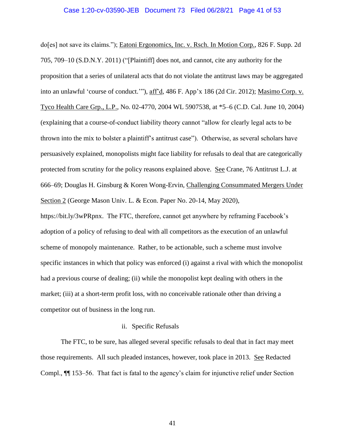#### Case 1:20-cv-03590-JEB Document 73 Filed 06/28/21 Page 41 of 53

do[es] not save its claims."); Eatoni Ergonomics, Inc. v. Rsch. In Motion Corp., 826 F. Supp. 2d 705, 709–10 (S.D.N.Y. 2011) ("[Plaintiff] does not, and cannot, cite any authority for the proposition that a series of unilateral acts that do not violate the antitrust laws may be aggregated into an unlawful 'course of conduct.'"), aff'd, 486 F. App'x 186 (2d Cir. 2012); Masimo Corp. v. Tyco Health Care Grp., L.P., No. 02-4770, 2004 WL 5907538, at \*5–6 (C.D. Cal. June 10, 2004) (explaining that a course-of-conduct liability theory cannot "allow for clearly legal acts to be thrown into the mix to bolster a plaintiff's antitrust case"). Otherwise, as several scholars have persuasively explained, monopolists might face liability for refusals to deal that are categorically protected from scrutiny for the policy reasons explained above. See Crane, 76 Antitrust L.J. at 666–69; Douglas H. Ginsburg & Koren Wong-Ervin, Challenging Consummated Mergers Under Section 2 (George Mason Univ. L. & Econ. Paper No. 20-14, May 2020),

https://bit.ly/3wPRpnx. The FTC, therefore, cannot get anywhere by reframing Facebook's adoption of a policy of refusing to deal with all competitors as the execution of an unlawful scheme of monopoly maintenance. Rather, to be actionable, such a scheme must involve specific instances in which that policy was enforced (i) against a rival with which the monopolist had a previous course of dealing; (ii) while the monopolist kept dealing with others in the market; (iii) at a short-term profit loss, with no conceivable rationale other than driving a competitor out of business in the long run.

## ii. Specific Refusals

<span id="page-40-0"></span>The FTC, to be sure, has alleged several specific refusals to deal that in fact may meet those requirements. All such pleaded instances, however, took place in 2013. See Redacted Compl., ¶¶ 153–56. That fact is fatal to the agency's claim for injunctive relief under Section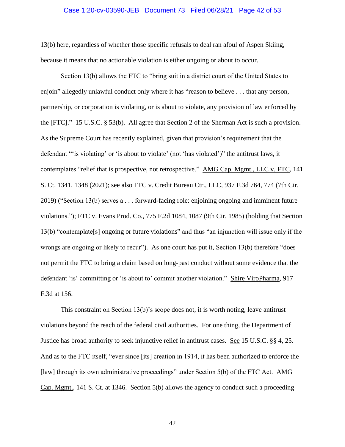#### Case 1:20-cv-03590-JEB Document 73 Filed 06/28/21 Page 42 of 53

13(b) here, regardless of whether those specific refusals to deal ran afoul of Aspen Skiing, because it means that no actionable violation is either ongoing or about to occur.

Section 13(b) allows the FTC to "bring suit in a district court of the United States to enjoin" allegedly unlawful conduct only where it has "reason to believe . . . that any person, partnership, or corporation is violating, or is about to violate, any provision of law enforced by the [FTC]." 15 U.S.C. § 53(b). All agree that Section 2 of the Sherman Act is such a provision. As the Supreme Court has recently explained, given that provision's requirement that the defendant "'is violating' or 'is about to violate' (not 'has violated')" the antitrust laws, it contemplates "relief that is prospective, not retrospective." AMG Cap. Mgmt., LLC v. FTC, 141 S. Ct. 1341, 1348 (2021); see also FTC v. Credit Bureau Ctr., LLC, 937 F.3d 764, 774 (7th Cir. 2019) ("Section 13(b) serves a . . . forward-facing role: enjoining ongoing and imminent future violations."); FTC v. Evans Prod. Co., 775 F.2d 1084, 1087 (9th Cir. 1985) (holding that Section 13(b) "contemplate[s] ongoing or future violations" and thus "an injunction will issue only if the wrongs are ongoing or likely to recur"). As one court has put it, Section 13(b) therefore "does not permit the FTC to bring a claim based on long-past conduct without some evidence that the defendant 'is' committing or 'is about to' commit another violation." Shire ViroPharma, 917 F.3d at 156.

This constraint on Section 13(b)'s scope does not, it is worth noting, leave antitrust violations beyond the reach of the federal civil authorities. For one thing, the Department of Justice has broad authority to seek injunctive relief in antitrust cases. See 15 U.S.C. §§ 4, 25. And as to the FTC itself, "ever since [its] creation in 1914, it has been authorized to enforce the [law] through its own administrative proceedings" under Section 5(b) of the FTC Act. AMG Cap. Mgmt., 141 S. Ct. at 1346. Section 5(b) allows the agency to conduct such a proceeding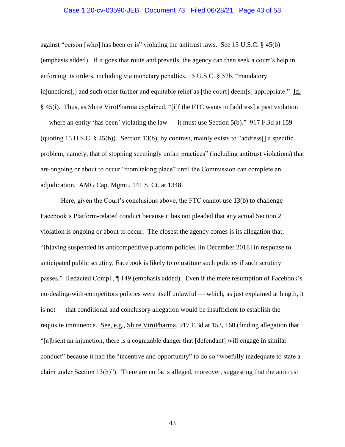#### Case 1:20-cv-03590-JEB Document 73 Filed 06/28/21 Page 43 of 53

against "person [who] has been or is" violating the antitrust laws. See 15 U.S.C. § 45(b) (emphasis added). If it goes that route and prevails, the agency can then seek a court's help in enforcing its orders, including via monetary penalties, 15 U.S.C. § 57b, "mandatory injunctions[,] and such other further and equitable relief as [the court] deem[s] appropriate." Id. § 45(*l*). Thus, as Shire ViroPharma explained, "[i]f the FTC wants to [address] a past violation — where an entity 'has been' violating the law — it must use Section 5(b)." 917 F.3d at 159 (quoting 15 U.S.C. § 45(b)). Section 13(b), by contrast, mainly exists to "address[] a specific problem, namely, that of stopping seemingly unfair practices" (including antitrust violations) that are ongoing or about to occur "from taking place" until the Commission can complete an adjudication. AMG Cap. Mgmt., 141 S. Ct. at 1348.

Here, given the Court's conclusions above, the FTC cannot use 13(b) to challenge Facebook's Platform-related conduct because it has not pleaded that any actual Section 2 violation is ongoing or about to occur. The closest the agency comes is its allegation that, "[h]aving suspended its anticompetitive platform policies [in December 2018] in response to anticipated public scrutiny, Facebook is likely to reinstitute such policies if such scrutiny passes." Redacted Compl., ¶ 149 (emphasis added). Even if the mere resumption of Facebook's no-dealing-with-competitors policies were itself unlawful — which, as just explained at length, it is not — that conditional and conclusory allegation would be insufficient to establish the requisite imminence. See, e.g., Shire ViroPharma, 917 F.3d at 153, 160 (finding allegation that "[a]bsent an injunction, there is a cognizable danger that [defendant] will engage in similar conduct" because it had the "incentive and opportunity" to do so "woefully inadequate to state a claim under Section 13(b)"). There are no facts alleged, moreover, suggesting that the antitrust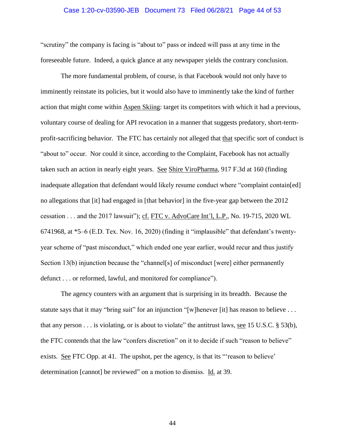#### Case 1:20-cv-03590-JEB Document 73 Filed 06/28/21 Page 44 of 53

"scrutiny" the company is facing is "about to" pass or indeed will pass at any time in the foreseeable future. Indeed, a quick glance at any newspaper yields the contrary conclusion.

The more fundamental problem, of course, is that Facebook would not only have to imminently reinstate its policies, but it would also have to imminently take the kind of further action that might come within Aspen Skiing: target its competitors with which it had a previous, voluntary course of dealing for API revocation in a manner that suggests predatory, short-termprofit-sacrificing behavior. The FTC has certainly not alleged that that specific sort of conduct is "about to" occur. Nor could it since, according to the Complaint, Facebook has not actually taken such an action in nearly eight years. See Shire ViroPharma, 917 F.3d at 160 (finding inadequate allegation that defendant would likely resume conduct where "complaint contain[ed] no allegations that [it] had engaged in [that behavior] in the five-year gap between the 2012 cessation . . . and the 2017 lawsuit"); cf. FTC v. AdvoCare Int'l, L.P., No. 19-715, 2020 WL 6741968, at \*5–6 (E.D. Tex. Nov. 16, 2020) (finding it "implausible" that defendant's twentyyear scheme of "past misconduct," which ended one year earlier, would recur and thus justify Section 13(b) injunction because the "channel<sup>[s]</sup> of misconduct [were] either permanently defunct . . . or reformed, lawful, and monitored for compliance").

The agency counters with an argument that is surprising in its breadth. Because the statute says that it may "bring suit" for an injunction "[w]henever [it] has reason to believe . . . that any person  $\dots$  is violating, or is about to violate" the antitrust laws, see 15 U.S.C. § 53(b), the FTC contends that the law "confers discretion" on it to decide if such "reason to believe" exists. See FTC Opp. at 41. The upshot, per the agency, is that its "reason to believe' determination [cannot] be reviewed" on a motion to dismiss. Id. at 39.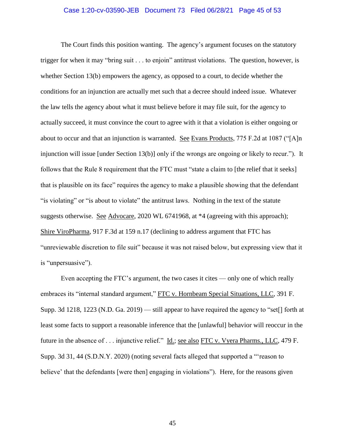#### Case 1:20-cv-03590-JEB Document 73 Filed 06/28/21 Page 45 of 53

The Court finds this position wanting. The agency's argument focuses on the statutory trigger for when it may "bring suit . . . to enjoin" antitrust violations. The question, however, is whether Section 13(b) empowers the agency, as opposed to a court, to decide whether the conditions for an injunction are actually met such that a decree should indeed issue. Whatever the law tells the agency about what it must believe before it may file suit, for the agency to actually succeed, it must convince the court to agree with it that a violation is either ongoing or about to occur and that an injunction is warranted. See Evans Products, 775 F.2d at 1087 ("[A]n injunction will issue [under Section 13(b)] only if the wrongs are ongoing or likely to recur."). It follows that the Rule 8 requirement that the FTC must "state a claim to [the relief that it seeks] that is plausible on its face" requires the agency to make a plausible showing that the defendant "is violating" or "is about to violate" the antitrust laws. Nothing in the text of the statute suggests otherwise. See Advocare, 2020 WL 6741968, at \*4 (agreeing with this approach); Shire ViroPharma, 917 F.3d at 159 n.17 (declining to address argument that FTC has "unreviewable discretion to file suit" because it was not raised below, but expressing view that it is "unpersuasive").

Even accepting the FTC's argument, the two cases it cites — only one of which really embraces its "internal standard argument," FTC v. Hornbeam Special Situations, LLC, 391 F. Supp. 3d 1218, 1223 (N.D. Ga. 2019) — still appear to have required the agency to "set[] forth at least some facts to support a reasonable inference that the [unlawful] behavior will reoccur in the future in the absence of . . . injunctive relief." Id.; see also FTC v. Vyera Pharms., LLC, 479 F. Supp. 3d 31, 44 (S.D.N.Y. 2020) (noting several facts alleged that supported a "'reason to believe' that the defendants [were then] engaging in violations"). Here, for the reasons given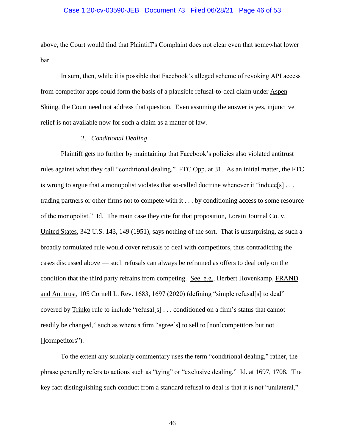#### Case 1:20-cv-03590-JEB Document 73 Filed 06/28/21 Page 46 of 53

above, the Court would find that Plaintiff's Complaint does not clear even that somewhat lower bar.

In sum, then, while it is possible that Facebook's alleged scheme of revoking API access from competitor apps could form the basis of a plausible refusal-to-deal claim under Aspen Skiing, the Court need not address that question. Even assuming the answer is yes, injunctive relief is not available now for such a claim as a matter of law.

## 2. *Conditional Dealing*

<span id="page-45-0"></span>Plaintiff gets no further by maintaining that Facebook's policies also violated antitrust rules against what they call "conditional dealing." FTC Opp. at 31. As an initial matter, the FTC is wrong to argue that a monopolist violates that so-called doctrine whenever it "induce[s] ... trading partners or other firms not to compete with it . . . by conditioning access to some resource of the monopolist." Id. The main case they cite for that proposition, Lorain Journal Co. v. United States, 342 U.S. 143, 149 (1951), says nothing of the sort. That is unsurprising, as such a broadly formulated rule would cover refusals to deal with competitors, thus contradicting the cases discussed above — such refusals can always be reframed as offers to deal only on the condition that the third party refrains from competing. See, e.g., Herbert Hovenkamp, FRAND and Antitrust, 105 Cornell L. Rev. 1683, 1697 (2020) (defining "simple refusal[s] to deal" covered by Trinko rule to include "refusal[s] . . . conditioned on a firm's status that cannot readily be changed," such as where a firm "agree[s] to sell to [non]competitors but not []competitors").

To the extent any scholarly commentary uses the term "conditional dealing," rather, the phrase generally refers to actions such as "tying" or "exclusive dealing." Id. at 1697, 1708. The key fact distinguishing such conduct from a standard refusal to deal is that it is not "unilateral,"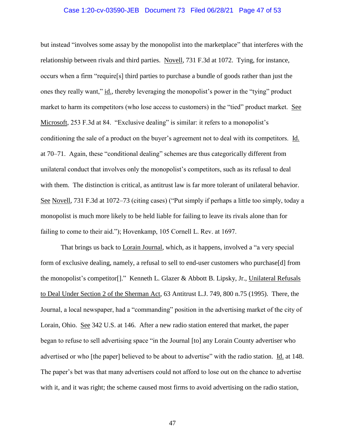#### Case 1:20-cv-03590-JEB Document 73 Filed 06/28/21 Page 47 of 53

but instead "involves some assay by the monopolist into the marketplace" that interferes with the relationship between rivals and third parties. Novell, 731 F.3d at 1072. Tying, for instance, occurs when a firm "require[s] third parties to purchase a bundle of goods rather than just the ones they really want," id., thereby leveraging the monopolist's power in the "tying" product market to harm its competitors (who lose access to customers) in the "tied" product market. See Microsoft, 253 F.3d at 84. "Exclusive dealing" is similar: it refers to a monopolist's conditioning the sale of a product on the buyer's agreement not to deal with its competitors. Id. at 70–71. Again, these "conditional dealing" schemes are thus categorically different from unilateral conduct that involves only the monopolist's competitors, such as its refusal to deal with them. The distinction is critical, as antitrust law is far more tolerant of unilateral behavior. See Novell, 731 F.3d at 1072–73 (citing cases) ("Put simply if perhaps a little too simply, today a monopolist is much more likely to be held liable for failing to leave its rivals alone than for failing to come to their aid."); Hovenkamp, 105 Cornell L. Rev. at 1697.

That brings us back to Lorain Journal, which, as it happens, involved a "a very special form of exclusive dealing, namely, a refusal to sell to end-user customers who purchase[d] from the monopolist's competitor[]." Kenneth L. Glazer & Abbott B. Lipsky, Jr., Unilateral Refusals to Deal Under Section 2 of the Sherman Act, 63 Antitrust L.J. 749, 800 n.75 (1995). There, the Journal, a local newspaper, had a "commanding" position in the advertising market of the city of Lorain, Ohio. See 342 U.S. at 146. After a new radio station entered that market, the paper began to refuse to sell advertising space "in the Journal [to] any Lorain County advertiser who advertised or who [the paper] believed to be about to advertise" with the radio station. Id. at 148. The paper's bet was that many advertisers could not afford to lose out on the chance to advertise with it, and it was right; the scheme caused most firms to avoid advertising on the radio station,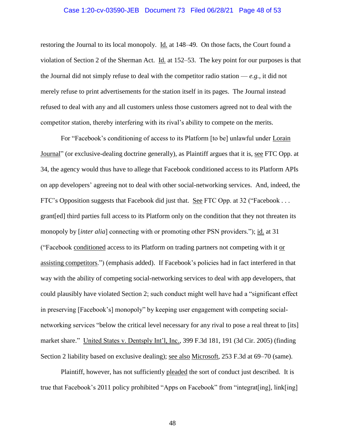#### Case 1:20-cv-03590-JEB Document 73 Filed 06/28/21 Page 48 of 53

restoring the Journal to its local monopoly. Id. at 148–49. On those facts, the Court found a violation of Section 2 of the Sherman Act. Id. at 152–53. The key point for our purposes is that the Journal did not simply refuse to deal with the competitor radio station — *e.g.*, it did not merely refuse to print advertisements for the station itself in its pages. The Journal instead refused to deal with any and all customers unless those customers agreed not to deal with the competitor station, thereby interfering with its rival's ability to compete on the merits.

For "Facebook's conditioning of access to its Platform [to be] unlawful under Lorain Journal" (or exclusive-dealing doctrine generally), as Plaintiff argues that it is, see FTC Opp. at 34, the agency would thus have to allege that Facebook conditioned access to its Platform APIs on app developers' agreeing not to deal with other social-networking services. And, indeed, the FTC's Opposition suggests that Facebook did just that. See FTC Opp. at 32 ("Facebook . . . grant[ed] third parties full access to its Platform only on the condition that they not threaten its monopoly by [*inter alia*] connecting with or promoting other PSN providers."); id. at 31 ("Facebook conditioned access to its Platform on trading partners not competing with it or assisting competitors.") (emphasis added). If Facebook's policies had in fact interfered in that way with the ability of competing social-networking services to deal with app developers, that could plausibly have violated Section 2; such conduct might well have had a "significant effect in preserving [Facebook's] monopoly" by keeping user engagement with competing socialnetworking services "below the critical level necessary for any rival to pose a real threat to [its] market share." United States v. Dentsply Int'l, Inc., 399 F.3d 181, 191 (3d Cir. 2005) (finding Section 2 liability based on exclusive dealing); <u>see also Microsoft</u>, 253 F.3d at 69–70 (same).

Plaintiff, however, has not sufficiently pleaded the sort of conduct just described. It is true that Facebook's 2011 policy prohibited "Apps on Facebook" from "integrat[ing], link[ing]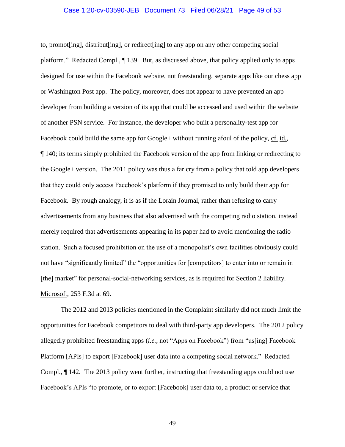#### Case 1:20-cv-03590-JEB Document 73 Filed 06/28/21 Page 49 of 53

to, promot[ing], distribut[ing], or redirect[ing] to any app on any other competing social platform." Redacted Compl., ¶ 139. But, as discussed above, that policy applied only to apps designed for use within the Facebook website, not freestanding, separate apps like our chess app or Washington Post app. The policy, moreover, does not appear to have prevented an app developer from building a version of its app that could be accessed and used within the website of another PSN service. For instance, the developer who built a personality-test app for Facebook could build the same app for Google+ without running afoul of the policy, cf. id., ¶ 140; its terms simply prohibited the Facebook version of the app from linking or redirecting to the Google+ version. The 2011 policy was thus a far cry from a policy that told app developers that they could only access Facebook's platform if they promised to only build their app for Facebook. By rough analogy, it is as if the Lorain Journal, rather than refusing to carry advertisements from any business that also advertised with the competing radio station, instead merely required that advertisements appearing in its paper had to avoid mentioning the radio station. Such a focused prohibition on the use of a monopolist's own facilities obviously could not have "significantly limited" the "opportunities for [competitors] to enter into or remain in [the] market" for personal-social-networking services, as is required for Section 2 liability. Microsoft, 253 F.3d at 69.

The 2012 and 2013 policies mentioned in the Complaint similarly did not much limit the opportunities for Facebook competitors to deal with third-party app developers. The 2012 policy allegedly prohibited freestanding apps (*i.e.*, not "Apps on Facebook") from "us[ing] Facebook Platform [APIs] to export [Facebook] user data into a competing social network." Redacted Compl., ¶ 142. The 2013 policy went further, instructing that freestanding apps could not use Facebook's APIs "to promote, or to export [Facebook] user data to, a product or service that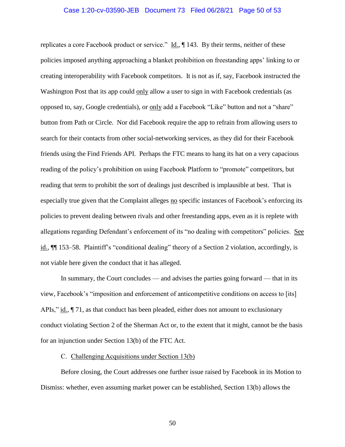#### Case 1:20-cv-03590-JEB Document 73 Filed 06/28/21 Page 50 of 53

replicates a core Facebook product or service."  $\underline{Id}$ ,  $\P$  143. By their terms, neither of these policies imposed anything approaching a blanket prohibition on freestanding apps' linking to or creating interoperability with Facebook competitors. It is not as if, say, Facebook instructed the Washington Post that its app could only allow a user to sign in with Facebook credentials (as opposed to, say, Google credentials), or only add a Facebook "Like" button and not a "share" button from Path or Circle. Nor did Facebook require the app to refrain from allowing users to search for their contacts from other social-networking services, as they did for their Facebook friends using the Find Friends API. Perhaps the FTC means to hang its hat on a very capacious reading of the policy's prohibition on using Facebook Platform to "promote" competitors, but reading that term to prohibit the sort of dealings just described is implausible at best. That is especially true given that the Complaint alleges no specific instances of Facebook's enforcing its policies to prevent dealing between rivals and other freestanding apps, even as it is replete with allegations regarding Defendant's enforcement of its "no dealing with competitors" policies. See id.,  $\P$  153–58. Plaintiff's "conditional dealing" theory of a Section 2 violation, accordingly, is not viable here given the conduct that it has alleged.

In summary, the Court concludes — and advises the parties going forward — that in its view, Facebook's "imposition and enforcement of anticompetitive conditions on access to [its] APIs," id., ¶ 71, as that conduct has been pleaded, either does not amount to exclusionary conduct violating Section 2 of the Sherman Act or, to the extent that it might, cannot be the basis for an injunction under Section 13(b) of the FTC Act.

#### C. Challenging Acquisitions under Section 13(b)

<span id="page-49-0"></span>Before closing, the Court addresses one further issue raised by Facebook in its Motion to Dismiss: whether, even assuming market power can be established, Section 13(b) allows the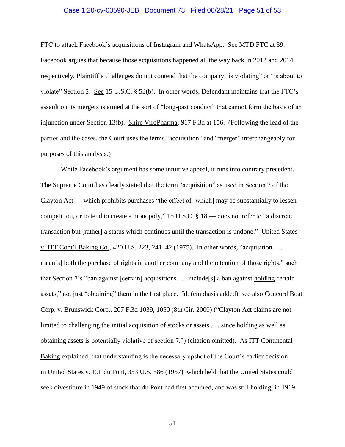#### Case 1:20-cv-03590-JEB Document 73 Filed 06/28/21 Page 51 of 53

FTC to attack Facebook's acquisitions of Instagram and WhatsApp. See MTD FTC at 39.

Facebook argues that because those acquisitions happened all the way back in 2012 and 2014, respectively, Plaintiff's challenges do not contend that the company "is violating" or "is about to violate" Section 2. See 15 U.S.C. § 53(b). In other words, Defendant maintains that the FTC's assault on its mergers is aimed at the sort of "long-past conduct" that cannot form the basis of an injunction under Section 13(b). Shire ViroPharma, 917 F.3d at 156. (Following the lead of the parties and the cases, the Court uses the terms "acquisition" and "merger" interchangeably for purposes of this analysis.)

While Facebook's argument has some intuitive appeal, it runs into contrary precedent. The Supreme Court has clearly stated that the term "acquisition" as used in Section 7 of the Clayton Act — which prohibits purchases "the effect of [which] may be substantially to lessen competition, or to tend to create a monopoly," 15 U.S.C. § 18 — does not refer to "a discrete transaction but [rather] a status which continues until the transaction is undone." United States v. ITT Cont'l Baking Co., 420 U.S. 223, 241–42 (1975). In other words, "acquisition . . . mean[s] both the purchase of rights in another company and the retention of those rights," such that Section 7's "ban against [certain] acquisitions . . . include[s] a ban against holding certain assets," not just "obtaining" them in the first place. Id. (emphasis added); see also Concord Boat Corp. v. Brunswick Corp., 207 F.3d 1039, 1050 (8th Cir. 2000) ("Clayton Act claims are not limited to challenging the initial acquisition of stocks or assets . . . since holding as well as obtaining assets is potentially violative of section 7.") (citation omitted). As ITT Continental Baking explained, that understanding is the necessary upshot of the Court's earlier decision in United States v. E.I. du Pont, 353 U.S. 586 (1957), which held that the United States could seek divestiture in 1949 of stock that du Pont had first acquired, and was still holding, in 1919.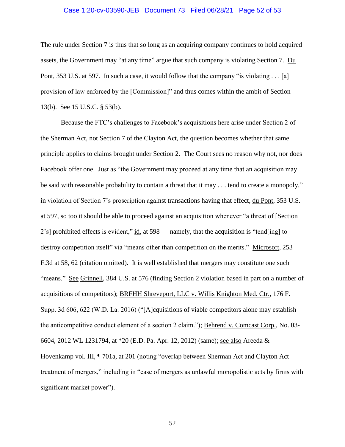## Case 1:20-cv-03590-JEB Document 73 Filed 06/28/21 Page 52 of 53

The rule under Section 7 is thus that so long as an acquiring company continues to hold acquired assets, the Government may "at any time" argue that such company is violating Section 7. Du Pont, 353 U.S. at 597. In such a case, it would follow that the company "is violating . . . [a] provision of law enforced by the [Commission]" and thus comes within the ambit of Section 13(b). See 15 U.S.C. § 53(b).

Because the FTC's challenges to Facebook's acquisitions here arise under Section 2 of the Sherman Act, not Section 7 of the Clayton Act, the question becomes whether that same principle applies to claims brought under Section 2. The Court sees no reason why not, nor does Facebook offer one. Just as "the Government may proceed at any time that an acquisition may be said with reasonable probability to contain a threat that it may . . . tend to create a monopoly," in violation of Section 7's proscription against transactions having that effect, du Pont, 353 U.S. at 597, so too it should be able to proceed against an acquisition whenever "a threat of [Section 2's] prohibited effects is evident," id. at 598 — namely, that the acquisition is "tend[ing] to destroy competition itself" via "means other than competition on the merits." Microsoft, 253 F.3d at 58, 62 (citation omitted). It is well established that mergers may constitute one such "means." See Grinnell, 384 U.S. at 576 (finding Section 2 violation based in part on a number of acquisitions of competitors); BRFHH Shreveport, LLC v. Willis Knighton Med. Ctr., 176 F. Supp. 3d 606, 622 (W.D. La. 2016) ("[A]cquisitions of viable competitors alone may establish the anticompetitive conduct element of a section 2 claim."); Behrend v. Comcast Corp., No. 03- 6604, 2012 WL 1231794, at \*20 (E.D. Pa. Apr. 12, 2012) (same); see also Areeda & Hovenkamp vol. III, ¶ 701a, at 201 (noting "overlap between Sherman Act and Clayton Act treatment of mergers," including in "case of mergers as unlawful monopolistic acts by firms with significant market power".